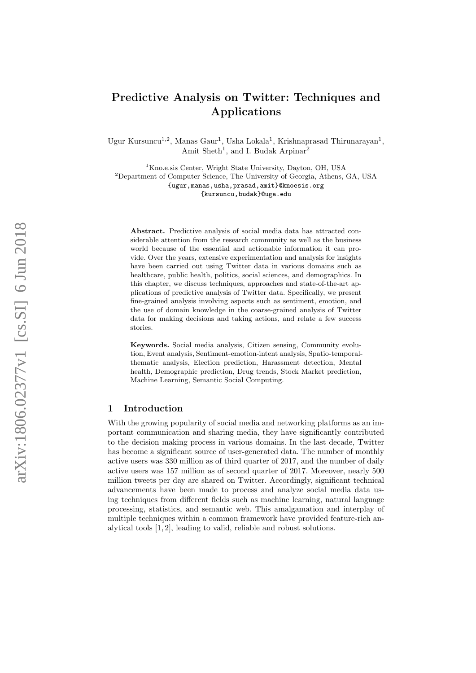# Predictive Analysis on Twitter: Techniques and Applications

Ugur Kursuncu<sup>1,2</sup>, Manas Gaur<sup>1</sup>, Usha Lokala<sup>1</sup>, Krishnaprasad Thirunarayan<sup>1</sup>, Amit Sheth<sup>1</sup>, and I. Budak Arpinar<sup>2</sup>

<sup>1</sup>Kno.e.sis Center, Wright State University, Dayton, OH, USA <sup>2</sup>Department of Computer Science, The University of Georgia, Athens, GA, USA {ugur,manas,usha,prasad,amit}@knoesis.org {kursuncu,budak}@uga.edu

Abstract. Predictive analysis of social media data has attracted considerable attention from the research community as well as the business world because of the essential and actionable information it can provide. Over the years, extensive experimentation and analysis for insights have been carried out using Twitter data in various domains such as healthcare, public health, politics, social sciences, and demographics. In this chapter, we discuss techniques, approaches and state-of-the-art applications of predictive analysis of Twitter data. Specifically, we present fine-grained analysis involving aspects such as sentiment, emotion, and the use of domain knowledge in the coarse-grained analysis of Twitter data for making decisions and taking actions, and relate a few success stories.

Keywords. Social media analysis, Citizen sensing, Community evolution, Event analysis, Sentiment-emotion-intent analysis, Spatio-temporalthematic analysis, Election prediction, Harassment detection, Mental health, Demographic prediction, Drug trends, Stock Market prediction, Machine Learning, Semantic Social Computing.

# 1 Introduction

With the growing popularity of social media and networking platforms as an important communication and sharing media, they have significantly contributed to the decision making process in various domains. In the last decade, Twitter has become a significant source of user-generated data. The number of monthly active users was 330 million as of third quarter of 2017, and the number of daily active users was 157 million as of second quarter of 2017. Moreover, nearly 500 million tweets per day are shared on Twitter. Accordingly, significant technical advancements have been made to process and analyze social media data using techniques from different fields such as machine learning, natural language processing, statistics, and semantic web. This amalgamation and interplay of multiple techniques within a common framework have provided feature-rich analytical tools [1, 2], leading to valid, reliable and robust solutions.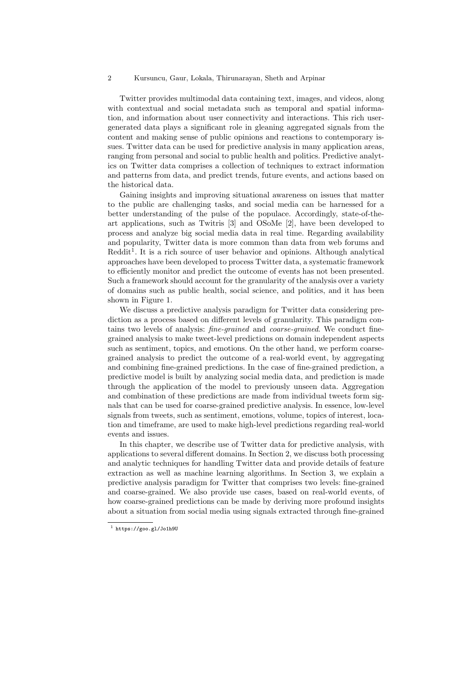Twitter provides multimodal data containing text, images, and videos, along with contextual and social metadata such as temporal and spatial information, and information about user connectivity and interactions. This rich usergenerated data plays a significant role in gleaning aggregated signals from the content and making sense of public opinions and reactions to contemporary issues. Twitter data can be used for predictive analysis in many application areas, ranging from personal and social to public health and politics. Predictive analytics on Twitter data comprises a collection of techniques to extract information and patterns from data, and predict trends, future events, and actions based on the historical data.

Gaining insights and improving situational awareness on issues that matter to the public are challenging tasks, and social media can be harnessed for a better understanding of the pulse of the populace. Accordingly, state-of-theart applications, such as Twitris [3] and OSoMe [2], have been developed to process and analyze big social media data in real time. Regarding availability and popularity, Twitter data is more common than data from web forums and Reddit<sup>1</sup>. It is a rich source of user behavior and opinions. Although analytical approaches have been developed to process Twitter data, a systematic framework to efficiently monitor and predict the outcome of events has not been presented. Such a framework should account for the granularity of the analysis over a variety of domains such as public health, social science, and politics, and it has been shown in Figure 1.

We discuss a predictive analysis paradigm for Twitter data considering prediction as a process based on different levels of granularity. This paradigm contains two levels of analysis: fine-grained and coarse-grained. We conduct finegrained analysis to make tweet-level predictions on domain independent aspects such as sentiment, topics, and emotions. On the other hand, we perform coarsegrained analysis to predict the outcome of a real-world event, by aggregating and combining fine-grained predictions. In the case of fine-grained prediction, a predictive model is built by analyzing social media data, and prediction is made through the application of the model to previously unseen data. Aggregation and combination of these predictions are made from individual tweets form signals that can be used for coarse-grained predictive analysis. In essence, low-level signals from tweets, such as sentiment, emotions, volume, topics of interest, location and timeframe, are used to make high-level predictions regarding real-world events and issues.

In this chapter, we describe use of Twitter data for predictive analysis, with applications to several different domains. In Section 2, we discuss both processing and analytic techniques for handling Twitter data and provide details of feature extraction as well as machine learning algorithms. In Section 3, we explain a predictive analysis paradigm for Twitter that comprises two levels: fine-grained and coarse-grained. We also provide use cases, based on real-world events, of how coarse-grained predictions can be made by deriving more profound insights about a situation from social media using signals extracted through fine-grained

<sup>1</sup> https://goo.gl/Jo1h9U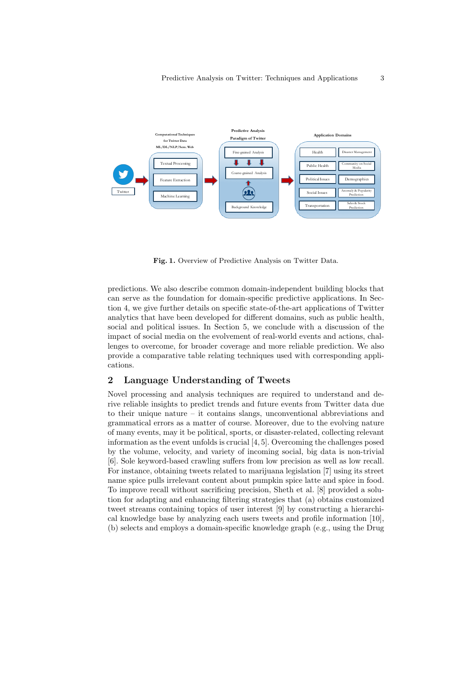

Fig. 1. Overview of Predictive Analysis on Twitter Data.

predictions. We also describe common domain-independent building blocks that can serve as the foundation for domain-specific predictive applications. In Section 4, we give further details on specific state-of-the-art applications of Twitter analytics that have been developed for different domains, such as public health, social and political issues. In Section 5, we conclude with a discussion of the impact of social media on the evolvement of real-world events and actions, challenges to overcome, for broader coverage and more reliable prediction. We also provide a comparative table relating techniques used with corresponding applications.

# 2 Language Understanding of Tweets

Novel processing and analysis techniques are required to understand and derive reliable insights to predict trends and future events from Twitter data due to their unique nature – it contains slangs, unconventional abbreviations and grammatical errors as a matter of course. Moreover, due to the evolving nature of many events, may it be political, sports, or disaster-related, collecting relevant information as the event unfolds is crucial [4, 5]. Overcoming the challenges posed by the volume, velocity, and variety of incoming social, big data is non-trivial [6]. Sole keyword-based crawling suffers from low precision as well as low recall. For instance, obtaining tweets related to marijuana legislation [7] using its street name spice pulls irrelevant content about pumpkin spice latte and spice in food. To improve recall without sacrificing precision, Sheth et al. [8] provided a solution for adapting and enhancing filtering strategies that (a) obtains customized tweet streams containing topics of user interest [9] by constructing a hierarchical knowledge base by analyzing each users tweets and profile information [10], (b) selects and employs a domain-specific knowledge graph (e.g., using the Drug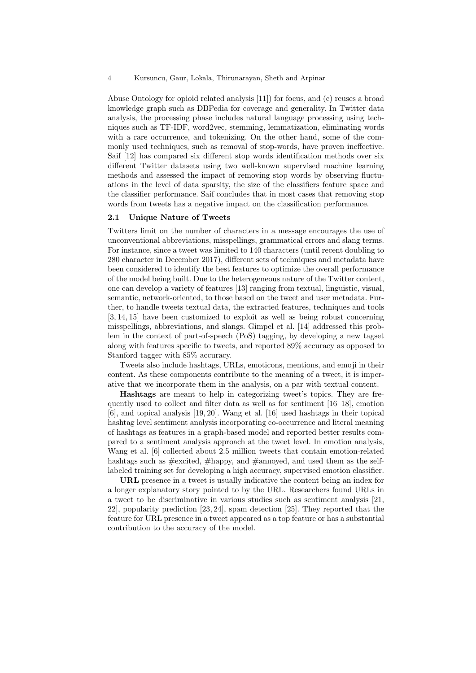Abuse Ontology for opioid related analysis [11]) for focus, and (c) reuses a broad knowledge graph such as DBPedia for coverage and generality. In Twitter data analysis, the processing phase includes natural language processing using techniques such as TF-IDF, word2vec, stemming, lemmatization, eliminating words with a rare occurrence, and tokenizing. On the other hand, some of the commonly used techniques, such as removal of stop-words, have proven ineffective. Saif [12] has compared six different stop words identification methods over six different Twitter datasets using two well-known supervised machine learning methods and assessed the impact of removing stop words by observing fluctuations in the level of data sparsity, the size of the classifiers feature space and the classifier performance. Saif concludes that in most cases that removing stop words from tweets has a negative impact on the classification performance.

## 2.1 Unique Nature of Tweets

Twitters limit on the number of characters in a message encourages the use of unconventional abbreviations, misspellings, grammatical errors and slang terms. For instance, since a tweet was limited to 140 characters (until recent doubling to 280 character in December 2017), different sets of techniques and metadata have been considered to identify the best features to optimize the overall performance of the model being built. Due to the heterogeneous nature of the Twitter content, one can develop a variety of features [13] ranging from textual, linguistic, visual, semantic, network-oriented, to those based on the tweet and user metadata. Further, to handle tweets textual data, the extracted features, techniques and tools [3, 14, 15] have been customized to exploit as well as being robust concerning misspellings, abbreviations, and slangs. Gimpel et al. [14] addressed this problem in the context of part-of-speech (PoS) tagging, by developing a new tagset along with features specific to tweets, and reported 89% accuracy as opposed to Stanford tagger with 85% accuracy.

Tweets also include hashtags, URLs, emoticons, mentions, and emoji in their content. As these components contribute to the meaning of a tweet, it is imperative that we incorporate them in the analysis, on a par with textual content.

Hashtags are meant to help in categorizing tweet's topics. They are frequently used to collect and filter data as well as for sentiment [16–18], emotion [6], and topical analysis [19, 20]. Wang et al. [16] used hashtags in their topical hashtag level sentiment analysis incorporating co-occurrence and literal meaning of hashtags as features in a graph-based model and reported better results compared to a sentiment analysis approach at the tweet level. In emotion analysis, Wang et al. [6] collected about 2.5 million tweets that contain emotion-related hashtags such as  $\#$ excited,  $\#$ happy, and  $\#$ annoyed, and used them as the selflabeled training set for developing a high accuracy, supervised emotion classifier.

URL presence in a tweet is usually indicative the content being an index for a longer explanatory story pointed to by the URL. Researchers found URLs in a tweet to be discriminative in various studies such as sentiment analysis [21, 22], popularity prediction [23, 24], spam detection [25]. They reported that the feature for URL presence in a tweet appeared as a top feature or has a substantial contribution to the accuracy of the model.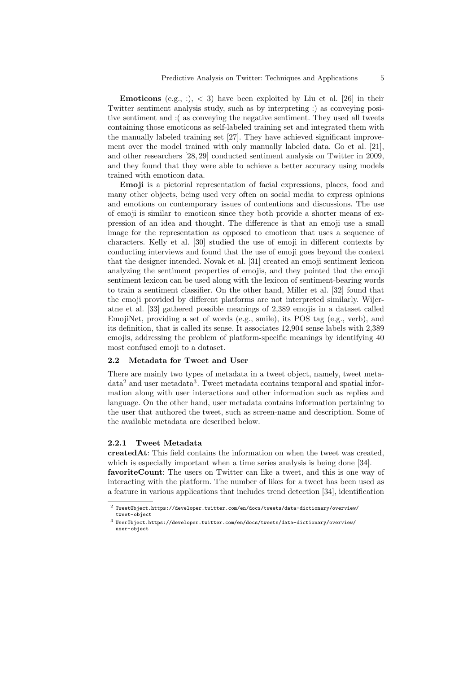**Emoticons** (e.g., :),  $\langle 3 \rangle$  have been exploited by Liu et al. [26] in their Twitter sentiment analysis study, such as by interpreting :) as conveying positive sentiment and :( as conveying the negative sentiment. They used all tweets containing those emoticons as self-labeled training set and integrated them with the manually labeled training set [27]. They have achieved significant improvement over the model trained with only manually labeled data. Go et al. [21], and other researchers [28, 29] conducted sentiment analysis on Twitter in 2009, and they found that they were able to achieve a better accuracy using models trained with emoticon data.

Emoji is a pictorial representation of facial expressions, places, food and many other objects, being used very often on social media to express opinions and emotions on contemporary issues of contentions and discussions. The use of emoji is similar to emoticon since they both provide a shorter means of expression of an idea and thought. The difference is that an emoji use a small image for the representation as opposed to emoticon that uses a sequence of characters. Kelly et al. [30] studied the use of emoji in different contexts by conducting interviews and found that the use of emoji goes beyond the context that the designer intended. Novak et al. [31] created an emoji sentiment lexicon analyzing the sentiment properties of emojis, and they pointed that the emoji sentiment lexicon can be used along with the lexicon of sentiment-bearing words to train a sentiment classifier. On the other hand, Miller et al. [32] found that the emoji provided by different platforms are not interpreted similarly. Wijeratne et al. [33] gathered possible meanings of 2,389 emojis in a dataset called EmojiNet, providing a set of words (e.g., smile), its POS tag (e.g., verb), and its definition, that is called its sense. It associates 12,904 sense labels with 2,389 emojis, addressing the problem of platform-specific meanings by identifying 40 most confused emoji to a dataset.

## 2.2 Metadata for Tweet and User

There are mainly two types of metadata in a tweet object, namely, tweet meta $data<sup>2</sup>$  and user metadata<sup>3</sup>. Tweet metadata contains temporal and spatial information along with user interactions and other information such as replies and language. On the other hand, user metadata contains information pertaining to the user that authored the tweet, such as screen-name and description. Some of the available metadata are described below.

#### 2.2.1 Tweet Metadata

createdAt: This field contains the information on when the tweet was created, which is especially important when a time series analysis is being done [34]. favoriteCount: The users on Twitter can like a tweet, and this is one way of interacting with the platform. The number of likes for a tweet has been used as a feature in various applications that includes trend detection [34], identification

 $^2$  TweetObject.https://developer.twitter.com/en/docs/tweets/data-dictionary/overview/ tweet-object

 $^3$  UserObject.https://developer.twitter.com/en/docs/tweets/data-dictionary/overview/ user-object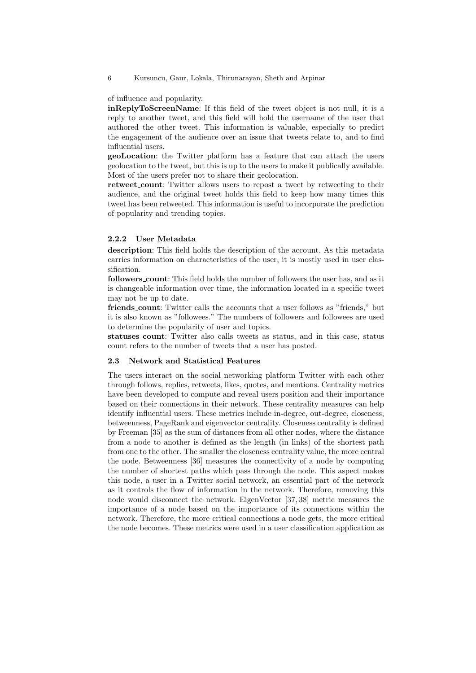#### of influence and popularity.

inReplyToScreenName: If this field of the tweet object is not null, it is a reply to another tweet, and this field will hold the username of the user that authored the other tweet. This information is valuable, especially to predict the engagement of the audience over an issue that tweets relate to, and to find influential users.

geoLocation: the Twitter platform has a feature that can attach the users geolocation to the tweet, but this is up to the users to make it publically available. Most of the users prefer not to share their geolocation.

retweet\_count: Twitter allows users to repost a tweet by retweeting to their audience, and the original tweet holds this field to keep how many times this tweet has been retweeted. This information is useful to incorporate the prediction of popularity and trending topics.

# 2.2.2 User Metadata

description: This field holds the description of the account. As this metadata carries information on characteristics of the user, it is mostly used in user classification.

followers count: This field holds the number of followers the user has, and as it is changeable information over time, the information located in a specific tweet may not be up to date.

friends count: Twitter calls the accounts that a user follows as "friends," but it is also known as "followees." The numbers of followers and followees are used to determine the popularity of user and topics.

statuses count: Twitter also calls tweets as status, and in this case, status count refers to the number of tweets that a user has posted.

## 2.3 Network and Statistical Features

The users interact on the social networking platform Twitter with each other through follows, replies, retweets, likes, quotes, and mentions. Centrality metrics have been developed to compute and reveal users position and their importance based on their connections in their network. These centrality measures can help identify influential users. These metrics include in-degree, out-degree, closeness, betweenness, PageRank and eigenvector centrality. Closeness centrality is defined by Freeman [35] as the sum of distances from all other nodes, where the distance from a node to another is defined as the length (in links) of the shortest path from one to the other. The smaller the closeness centrality value, the more central the node. Betweenness [36] measures the connectivity of a node by computing the number of shortest paths which pass through the node. This aspect makes this node, a user in a Twitter social network, an essential part of the network as it controls the flow of information in the network. Therefore, removing this node would disconnect the network. EigenVector [37, 38] metric measures the importance of a node based on the importance of its connections within the network. Therefore, the more critical connections a node gets, the more critical the node becomes. These metrics were used in a user classification application as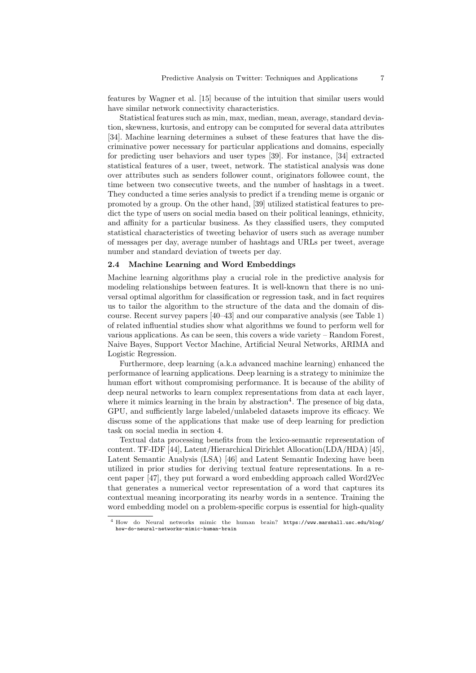features by Wagner et al. [15] because of the intuition that similar users would have similar network connectivity characteristics.

Statistical features such as min, max, median, mean, average, standard deviation, skewness, kurtosis, and entropy can be computed for several data attributes [34]. Machine learning determines a subset of these features that have the discriminative power necessary for particular applications and domains, especially for predicting user behaviors and user types [39]. For instance, [34] extracted statistical features of a user, tweet, network. The statistical analysis was done over attributes such as senders follower count, originators followee count, the time between two consecutive tweets, and the number of hashtags in a tweet. They conducted a time series analysis to predict if a trending meme is organic or promoted by a group. On the other hand, [39] utilized statistical features to predict the type of users on social media based on their political leanings, ethnicity, and affinity for a particular business. As they classified users, they computed statistical characteristics of tweeting behavior of users such as average number of messages per day, average number of hashtags and URLs per tweet, average number and standard deviation of tweets per day.

## 2.4 Machine Learning and Word Embeddings

Machine learning algorithms play a crucial role in the predictive analysis for modeling relationships between features. It is well-known that there is no universal optimal algorithm for classification or regression task, and in fact requires us to tailor the algorithm to the structure of the data and the domain of discourse. Recent survey papers [40–43] and our comparative analysis (see Table 1) of related influential studies show what algorithms we found to perform well for various applications. As can be seen, this covers a wide variety – Random Forest, Naive Bayes, Support Vector Machine, Artificial Neural Networks, ARIMA and Logistic Regression.

Furthermore, deep learning (a.k.a advanced machine learning) enhanced the performance of learning applications. Deep learning is a strategy to minimize the human effort without compromising performance. It is because of the ability of deep neural networks to learn complex representations from data at each layer, where it mimics learning in the brain by abstraction<sup>4</sup>. The presence of big data, GPU, and sufficiently large labeled/unlabeled datasets improve its efficacy. We discuss some of the applications that make use of deep learning for prediction task on social media in section 4.

Textual data processing benefits from the lexico-semantic representation of content. TF-IDF [44], Latent/Hierarchical Dirichlet Allocation(LDA/HDA) [45], Latent Semantic Analysis (LSA) [46] and Latent Semantic Indexing have been utilized in prior studies for deriving textual feature representations. In a recent paper [47], they put forward a word embedding approach called Word2Vec that generates a numerical vector representation of a word that captures its contextual meaning incorporating its nearby words in a sentence. Training the word embedding model on a problem-specific corpus is essential for high-quality

<sup>4</sup> How do Neural networks mimic the human brain? https://www.marshall.usc.edu/blog/ how-do-neural-networks-mimic-human-brain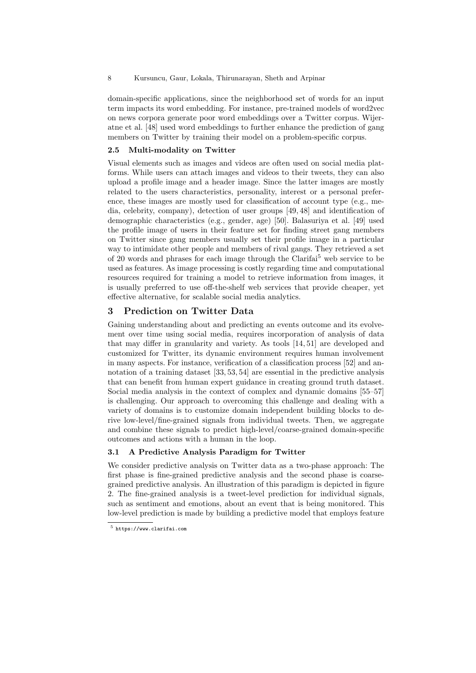domain-specific applications, since the neighborhood set of words for an input term impacts its word embedding. For instance, pre-trained models of word2vec on news corpora generate poor word embeddings over a Twitter corpus. Wijeratne et al. [48] used word embeddings to further enhance the prediction of gang members on Twitter by training their model on a problem-specific corpus.

#### 2.5 Multi-modality on Twitter

Visual elements such as images and videos are often used on social media platforms. While users can attach images and videos to their tweets, they can also upload a profile image and a header image. Since the latter images are mostly related to the users characteristics, personality, interest or a personal preference, these images are mostly used for classification of account type (e.g., media, celebrity, company), detection of user groups [49, 48] and identification of demographic characteristics (e.g., gender, age) [50]. Balasuriya et al. [49] used the profile image of users in their feature set for finding street gang members on Twitter since gang members usually set their profile image in a particular way to intimidate other people and members of rival gangs. They retrieved a set of 20 words and phrases for each image through the Clarifai<sup>5</sup> web service to be used as features. As image processing is costly regarding time and computational resources required for training a model to retrieve information from images, it is usually preferred to use off-the-shelf web services that provide cheaper, yet effective alternative, for scalable social media analytics.

# 3 Prediction on Twitter Data

Gaining understanding about and predicting an events outcome and its evolvement over time using social media, requires incorporation of analysis of data that may differ in granularity and variety. As tools [14, 51] are developed and customized for Twitter, its dynamic environment requires human involvement in many aspects. For instance, verification of a classification process [52] and annotation of a training dataset [33, 53, 54] are essential in the predictive analysis that can benefit from human expert guidance in creating ground truth dataset. Social media analysis in the context of complex and dynamic domains [55–57] is challenging. Our approach to overcoming this challenge and dealing with a variety of domains is to customize domain independent building blocks to derive low-level/fine-grained signals from individual tweets. Then, we aggregate and combine these signals to predict high-level/coarse-grained domain-specific outcomes and actions with a human in the loop.

# 3.1 A Predictive Analysis Paradigm for Twitter

We consider predictive analysis on Twitter data as a two-phase approach: The first phase is fine-grained predictive analysis and the second phase is coarsegrained predictive analysis. An illustration of this paradigm is depicted in figure 2. The fine-grained analysis is a tweet-level prediction for individual signals, such as sentiment and emotions, about an event that is being monitored. This low-level prediction is made by building a predictive model that employs feature

<sup>5</sup> https://www.clarifai.com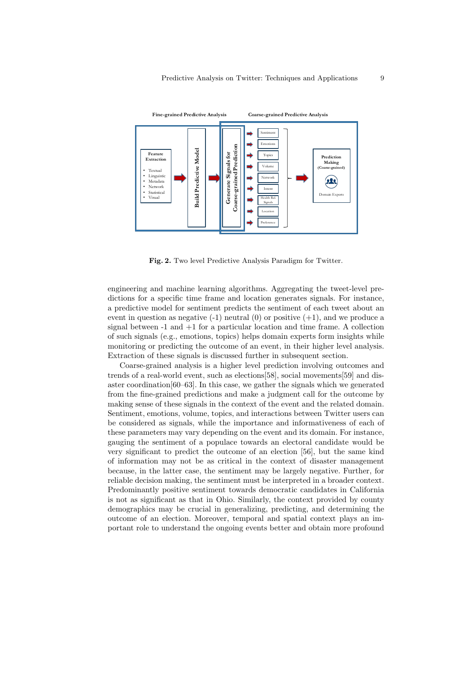

Fig. 2. Two level Predictive Analysis Paradigm for Twitter.

engineering and machine learning algorithms. Aggregating the tweet-level predictions for a specific time frame and location generates signals. For instance, a predictive model for sentiment predicts the sentiment of each tweet about an event in question as negative  $(-1)$  neutral  $(0)$  or positive  $(+1)$ , and we produce a signal between  $-1$  and  $+1$  for a particular location and time frame. A collection of such signals (e.g., emotions, topics) helps domain experts form insights while monitoring or predicting the outcome of an event, in their higher level analysis. Extraction of these signals is discussed further in subsequent section.

Coarse-grained analysis is a higher level prediction involving outcomes and trends of a real-world event, such as elections[58], social movements[59] and disaster coordination[60–63]. In this case, we gather the signals which we generated from the fine-grained predictions and make a judgment call for the outcome by making sense of these signals in the context of the event and the related domain. Sentiment, emotions, volume, topics, and interactions between Twitter users can be considered as signals, while the importance and informativeness of each of these parameters may vary depending on the event and its domain. For instance, gauging the sentiment of a populace towards an electoral candidate would be very significant to predict the outcome of an election [56], but the same kind of information may not be as critical in the context of disaster management because, in the latter case, the sentiment may be largely negative. Further, for reliable decision making, the sentiment must be interpreted in a broader context. Predominantly positive sentiment towards democratic candidates in California is not as significant as that in Ohio. Similarly, the context provided by county demographics may be crucial in generalizing, predicting, and determining the outcome of an election. Moreover, temporal and spatial context plays an important role to understand the ongoing events better and obtain more profound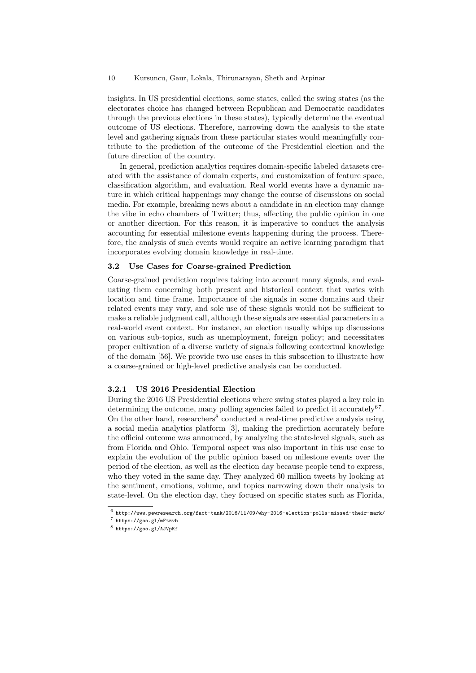insights. In US presidential elections, some states, called the swing states (as the electorates choice has changed between Republican and Democratic candidates through the previous elections in these states), typically determine the eventual outcome of US elections. Therefore, narrowing down the analysis to the state level and gathering signals from these particular states would meaningfully contribute to the prediction of the outcome of the Presidential election and the future direction of the country.

In general, prediction analytics requires domain-specific labeled datasets created with the assistance of domain experts, and customization of feature space, classification algorithm, and evaluation. Real world events have a dynamic nature in which critical happenings may change the course of discussions on social media. For example, breaking news about a candidate in an election may change the vibe in echo chambers of Twitter; thus, affecting the public opinion in one or another direction. For this reason, it is imperative to conduct the analysis accounting for essential milestone events happening during the process. Therefore, the analysis of such events would require an active learning paradigm that incorporates evolving domain knowledge in real-time.

## 3.2 Use Cases for Coarse-grained Prediction

Coarse-grained prediction requires taking into account many signals, and evaluating them concerning both present and historical context that varies with location and time frame. Importance of the signals in some domains and their related events may vary, and sole use of these signals would not be sufficient to make a reliable judgment call, although these signals are essential parameters in a real-world event context. For instance, an election usually whips up discussions on various sub-topics, such as unemployment, foreign policy; and necessitates proper cultivation of a diverse variety of signals following contextual knowledge of the domain [56]. We provide two use cases in this subsection to illustrate how a coarse-grained or high-level predictive analysis can be conducted.

#### 3.2.1 US 2016 Presidential Election

During the 2016 US Presidential elections where swing states played a key role in determining the outcome, many polling agencies failed to predict it accurately<sup>67</sup>. On the other hand, researchers<sup>8</sup> conducted a real-time predictive analysis using a social media analytics platform [3], making the prediction accurately before the official outcome was announced, by analyzing the state-level signals, such as from Florida and Ohio. Temporal aspect was also important in this use case to explain the evolution of the public opinion based on milestone events over the period of the election, as well as the election day because people tend to express, who they voted in the same day. They analyzed 60 million tweets by looking at the sentiment, emotions, volume, and topics narrowing down their analysis to state-level. On the election day, they focused on specific states such as Florida,

 $^6$  http://www.pewresearch.org/fact-tank/2016/11/09/why-2016-election-polls-missed-their-mark/

<sup>7</sup> https://goo.gl/mFtzvb

<sup>8</sup> https://goo.gl/AJVpKf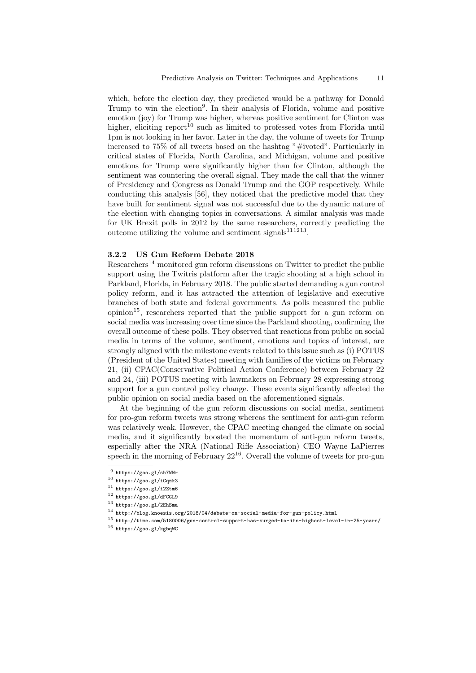which, before the election day, they predicted would be a pathway for Donald Trump to win the election<sup>9</sup>. In their analysis of Florida, volume and positive emotion (joy) for Trump was higher, whereas positive sentiment for Clinton was higher, eliciting report<sup>10</sup> such as limited to professed votes from Florida until 1pm is not looking in her favor. Later in the day, the volume of tweets for Trump increased to 75% of all tweets based on the hashtag "#ivoted". Particularly in critical states of Florida, North Carolina, and Michigan, volume and positive emotions for Trump were significantly higher than for Clinton, although the sentiment was countering the overall signal. They made the call that the winner of Presidency and Congress as Donald Trump and the GOP respectively. While conducting this analysis [56], they noticed that the predictive model that they have built for sentiment signal was not successful due to the dynamic nature of the election with changing topics in conversations. A similar analysis was made for UK Brexit polls in 2012 by the same researchers, correctly predicting the outcome utilizing the volume and sentiment signals $111213$ .

# 3.2.2 US Gun Reform Debate 2018

Researchers<sup>14</sup> monitored gun reform discussions on Twitter to predict the public support using the Twitris platform after the tragic shooting at a high school in Parkland, Florida, in February 2018. The public started demanding a gun control policy reform, and it has attracted the attention of legislative and executive branches of both state and federal governments. As polls measured the public opinion<sup>15</sup>, researchers reported that the public support for a gun reform on social media was increasing over time since the Parkland shooting, confirming the overall outcome of these polls. They observed that reactions from public on social media in terms of the volume, sentiment, emotions and topics of interest, are strongly aligned with the milestone events related to this issue such as (i) POTUS (President of the United States) meeting with families of the victims on February 21, (ii) CPAC(Conservative Political Action Conference) between February 22 and 24, (iii) POTUS meeting with lawmakers on February 28 expressing strong support for a gun control policy change. These events significantly affected the public opinion on social media based on the aforementioned signals.

At the beginning of the gun reform discussions on social media, sentiment for pro-gun reform tweets was strong whereas the sentiment for anti-gun reform was relatively weak. However, the CPAC meeting changed the climate on social media, and it significantly boosted the momentum of anti-gun reform tweets, especially after the NRA (National Rifle Association) CEO Wayne LaPierres speech in the morning of February  $22^{16}$ . Overall the volume of tweets for pro-gun

<sup>15</sup> http://time.com/5180006/gun-control-support-has-surged-to-its-highest-level-in-25-years/

<sup>&</sup>lt;sup>9</sup> https://goo.gl/sh7WNr

<sup>10</sup> https://goo.gl/iCqzk3

 $11$  https://goo.gl/i2Ztm6

<sup>12</sup> https://goo.gl/dFCGL9

<sup>13</sup> https://goo.gl/2EhSma

 $^{14}$ http://blog.knoesis.org/2018/04/debate-on-social-media-for-gun-policy.html

<sup>16</sup> https://goo.gl/kgbqWC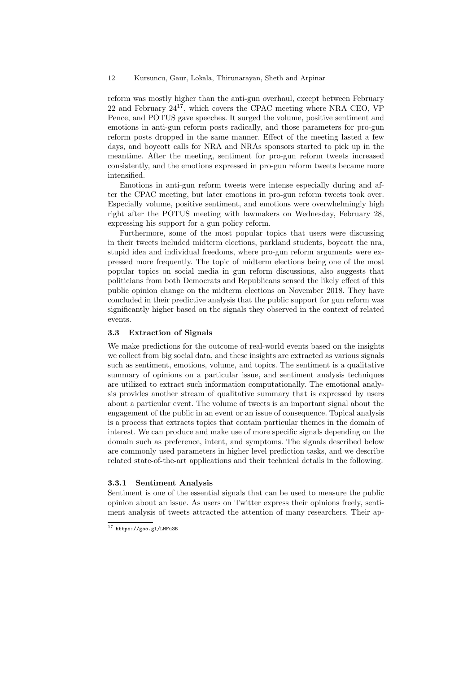reform was mostly higher than the anti-gun overhaul, except between February 22 and February  $24^{17}$ , which covers the CPAC meeting where NRA CEO, VP Pence, and POTUS gave speeches. It surged the volume, positive sentiment and emotions in anti-gun reform posts radically, and those parameters for pro-gun reform posts dropped in the same manner. Effect of the meeting lasted a few days, and boycott calls for NRA and NRAs sponsors started to pick up in the meantime. After the meeting, sentiment for pro-gun reform tweets increased consistently, and the emotions expressed in pro-gun reform tweets became more intensified.

Emotions in anti-gun reform tweets were intense especially during and after the CPAC meeting, but later emotions in pro-gun reform tweets took over. Especially volume, positive sentiment, and emotions were overwhelmingly high right after the POTUS meeting with lawmakers on Wednesday, February 28, expressing his support for a gun policy reform.

Furthermore, some of the most popular topics that users were discussing in their tweets included midterm elections, parkland students, boycott the nra, stupid idea and individual freedoms, where pro-gun reform arguments were expressed more frequently. The topic of midterm elections being one of the most popular topics on social media in gun reform discussions, also suggests that politicians from both Democrats and Republicans sensed the likely effect of this public opinion change on the midterm elections on November 2018. They have concluded in their predictive analysis that the public support for gun reform was significantly higher based on the signals they observed in the context of related events.

## 3.3 Extraction of Signals

We make predictions for the outcome of real-world events based on the insights we collect from big social data, and these insights are extracted as various signals such as sentiment, emotions, volume, and topics. The sentiment is a qualitative summary of opinions on a particular issue, and sentiment analysis techniques are utilized to extract such information computationally. The emotional analysis provides another stream of qualitative summary that is expressed by users about a particular event. The volume of tweets is an important signal about the engagement of the public in an event or an issue of consequence. Topical analysis is a process that extracts topics that contain particular themes in the domain of interest. We can produce and make use of more specific signals depending on the domain such as preference, intent, and symptoms. The signals described below are commonly used parameters in higher level prediction tasks, and we describe related state-of-the-art applications and their technical details in the following.

#### 3.3.1 Sentiment Analysis

Sentiment is one of the essential signals that can be used to measure the public opinion about an issue. As users on Twitter express their opinions freely, sentiment analysis of tweets attracted the attention of many researchers. Their ap-

 $^{17}$ https://goo.gl/LMFu3B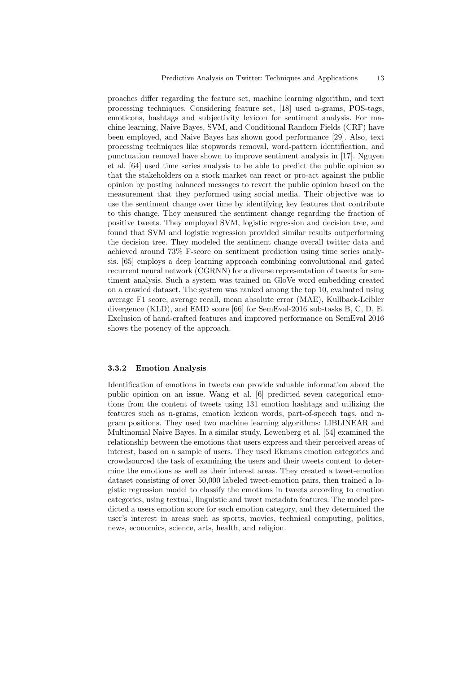proaches differ regarding the feature set, machine learning algorithm, and text processing techniques. Considering feature set, [18] used n-grams, POS-tags, emoticons, hashtags and subjectivity lexicon for sentiment analysis. For machine learning, Naive Bayes, SVM, and Conditional Random Fields (CRF) have been employed, and Naive Bayes has shown good performance [29]. Also, text processing techniques like stopwords removal, word-pattern identification, and punctuation removal have shown to improve sentiment analysis in [17]. Nguyen et al. [64] used time series analysis to be able to predict the public opinion so that the stakeholders on a stock market can react or pro-act against the public opinion by posting balanced messages to revert the public opinion based on the measurement that they performed using social media. Their objective was to use the sentiment change over time by identifying key features that contribute to this change. They measured the sentiment change regarding the fraction of positive tweets. They employed SVM, logistic regression and decision tree, and found that SVM and logistic regression provided similar results outperforming the decision tree. They modeled the sentiment change overall twitter data and achieved around 73% F-score on sentiment prediction using time series analysis. [65] employs a deep learning approach combining convolutional and gated recurrent neural network (CGRNN) for a diverse representation of tweets for sentiment analysis. Such a system was trained on GloVe word embedding created on a crawled dataset. The system was ranked among the top 10, evaluated using average F1 score, average recall, mean absolute error (MAE), Kullback-Leibler divergence (KLD), and EMD score [66] for SemEval-2016 sub-tasks B, C, D, E. Exclusion of hand-crafted features and improved performance on SemEval 2016 shows the potency of the approach.

#### 3.3.2 Emotion Analysis

Identification of emotions in tweets can provide valuable information about the public opinion on an issue. Wang et al. [6] predicted seven categorical emotions from the content of tweets using 131 emotion hashtags and utilizing the features such as n-grams, emotion lexicon words, part-of-speech tags, and ngram positions. They used two machine learning algorithms: LIBLINEAR and Multinomial Naive Bayes. In a similar study, Lewenberg et al. [54] examined the relationship between the emotions that users express and their perceived areas of interest, based on a sample of users. They used Ekmans emotion categories and crowdsourced the task of examining the users and their tweets content to determine the emotions as well as their interest areas. They created a tweet-emotion dataset consisting of over 50,000 labeled tweet-emotion pairs, then trained a logistic regression model to classify the emotions in tweets according to emotion categories, using textual, linguistic and tweet metadata features. The model predicted a users emotion score for each emotion category, and they determined the user's interest in areas such as sports, movies, technical computing, politics, news, economics, science, arts, health, and religion.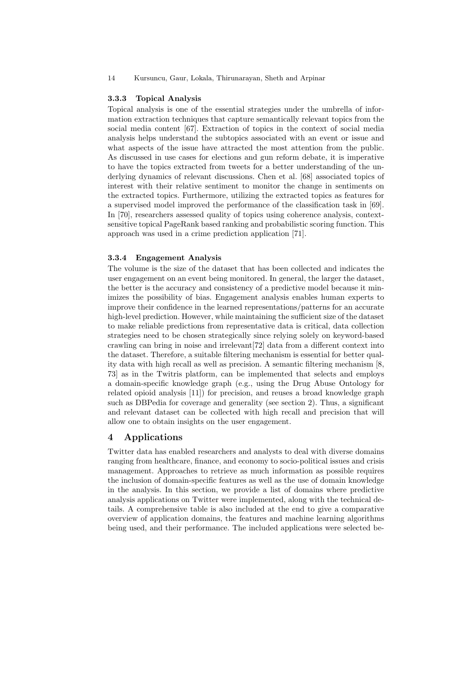## 3.3.3 Topical Analysis

Topical analysis is one of the essential strategies under the umbrella of information extraction techniques that capture semantically relevant topics from the social media content [67]. Extraction of topics in the context of social media analysis helps understand the subtopics associated with an event or issue and what aspects of the issue have attracted the most attention from the public. As discussed in use cases for elections and gun reform debate, it is imperative to have the topics extracted from tweets for a better understanding of the underlying dynamics of relevant discussions. Chen et al. [68] associated topics of interest with their relative sentiment to monitor the change in sentiments on the extracted topics. Furthermore, utilizing the extracted topics as features for a supervised model improved the performance of the classification task in [69]. In [70], researchers assessed quality of topics using coherence analysis, contextsensitive topical PageRank based ranking and probabilistic scoring function. This approach was used in a crime prediction application [71].

# 3.3.4 Engagement Analysis

The volume is the size of the dataset that has been collected and indicates the user engagement on an event being monitored. In general, the larger the dataset, the better is the accuracy and consistency of a predictive model because it minimizes the possibility of bias. Engagement analysis enables human experts to improve their confidence in the learned representations/patterns for an accurate high-level prediction. However, while maintaining the sufficient size of the dataset to make reliable predictions from representative data is critical, data collection strategies need to be chosen strategically since relying solely on keyword-based crawling can bring in noise and irrelevant[72] data from a different context into the dataset. Therefore, a suitable filtering mechanism is essential for better quality data with high recall as well as precision. A semantic filtering mechanism [8, 73] as in the Twitris platform, can be implemented that selects and employs a domain-specific knowledge graph (e.g., using the Drug Abuse Ontology for related opioid analysis [11]) for precision, and reuses a broad knowledge graph such as DBPedia for coverage and generality (see section 2). Thus, a significant and relevant dataset can be collected with high recall and precision that will allow one to obtain insights on the user engagement.

# 4 Applications

Twitter data has enabled researchers and analysts to deal with diverse domains ranging from healthcare, finance, and economy to socio-political issues and crisis management. Approaches to retrieve as much information as possible requires the inclusion of domain-specific features as well as the use of domain knowledge in the analysis. In this section, we provide a list of domains where predictive analysis applications on Twitter were implemented, along with the technical details. A comprehensive table is also included at the end to give a comparative overview of application domains, the features and machine learning algorithms being used, and their performance. The included applications were selected be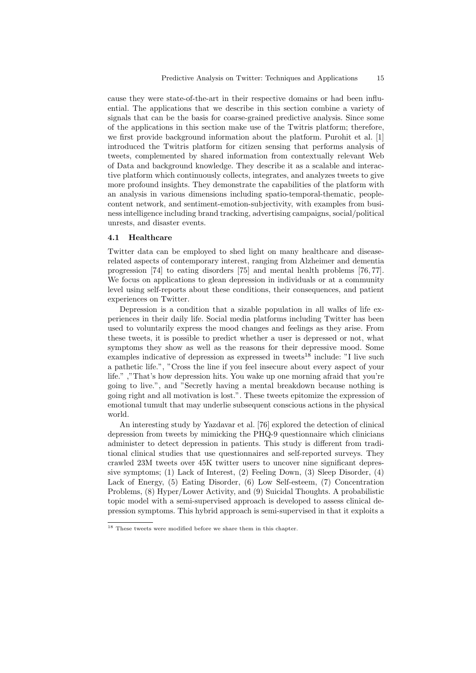cause they were state-of-the-art in their respective domains or had been influential. The applications that we describe in this section combine a variety of signals that can be the basis for coarse-grained predictive analysis. Since some of the applications in this section make use of the Twitris platform; therefore, we first provide background information about the platform. Purohit et al. [1] introduced the Twitris platform for citizen sensing that performs analysis of tweets, complemented by shared information from contextually relevant Web of Data and background knowledge. They describe it as a scalable and interactive platform which continuously collects, integrates, and analyzes tweets to give more profound insights. They demonstrate the capabilities of the platform with an analysis in various dimensions including spatio-temporal-thematic, peoplecontent network, and sentiment-emotion-subjectivity, with examples from business intelligence including brand tracking, advertising campaigns, social/political unrests, and disaster events.

#### 4.1 Healthcare

Twitter data can be employed to shed light on many healthcare and diseaserelated aspects of contemporary interest, ranging from Alzheimer and dementia progression [74] to eating disorders [75] and mental health problems [76, 77]. We focus on applications to glean depression in individuals or at a community level using self-reports about these conditions, their consequences, and patient experiences on Twitter.

Depression is a condition that a sizable population in all walks of life experiences in their daily life. Social media platforms including Twitter has been used to voluntarily express the mood changes and feelings as they arise. From these tweets, it is possible to predict whether a user is depressed or not, what symptoms they show as well as the reasons for their depressive mood. Some examples indicative of depression as expressed in tweets<sup>18</sup> include: "I live such a pathetic life.", "Cross the line if you feel insecure about every aspect of your life." ,"That's how depression hits. You wake up one morning afraid that you're going to live.", and "Secretly having a mental breakdown because nothing is going right and all motivation is lost.". These tweets epitomize the expression of emotional tumult that may underlie subsequent conscious actions in the physical world.

An interesting study by Yazdavar et al. [76] explored the detection of clinical depression from tweets by mimicking the PHQ-9 questionnaire which clinicians administer to detect depression in patients. This study is different from traditional clinical studies that use questionnaires and self-reported surveys. They crawled 23M tweets over 45K twitter users to uncover nine significant depressive symptoms; (1) Lack of Interest, (2) Feeling Down, (3) Sleep Disorder, (4) Lack of Energy, (5) Eating Disorder, (6) Low Self-esteem, (7) Concentration Problems, (8) Hyper/Lower Activity, and (9) Suicidal Thoughts. A probabilistic topic model with a semi-supervised approach is developed to assess clinical depression symptoms. This hybrid approach is semi-supervised in that it exploits a

<sup>18</sup> These tweets were modified before we share them in this chapter.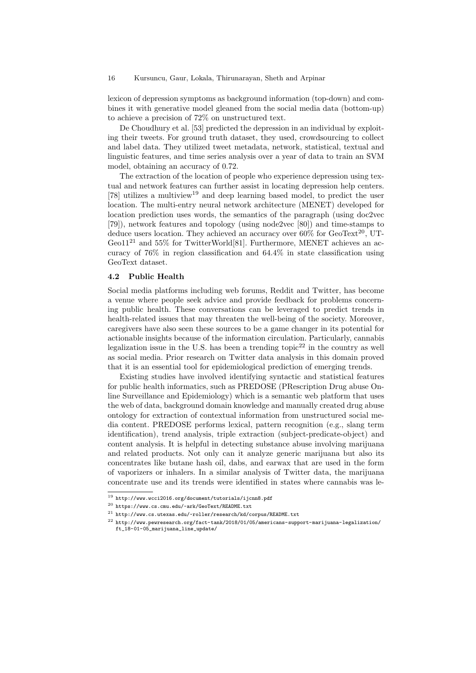lexicon of depression symptoms as background information (top-down) and combines it with generative model gleaned from the social media data (bottom-up) to achieve a precision of 72% on unstructured text.

De Choudhury et al. [53] predicted the depression in an individual by exploiting their tweets. For ground truth dataset, they used, crowdsourcing to collect and label data. They utilized tweet metadata, network, statistical, textual and linguistic features, and time series analysis over a year of data to train an SVM model, obtaining an accuracy of 0.72.

The extraction of the location of people who experience depression using textual and network features can further assist in locating depression help centers. [78] utilizes a multiview<sup>19</sup> and deep learning based model, to predict the user location. The multi-entry neural network architecture (MENET) developed for location prediction uses words, the semantics of the paragraph (using doc2vec [79]), network features and topology (using node2vec [80]) and time-stamps to deduce users location. They achieved an accuracy over  $60\%$  for  $GeoText^{20}$ , UT-Geo11<sup>21</sup> and 55% for TwitterWorld[81]. Furthermore, MENET achieves an accuracy of 76% in region classification and 64.4% in state classification using GeoText dataset.

# 4.2 Public Health

Social media platforms including web forums, Reddit and Twitter, has become a venue where people seek advice and provide feedback for problems concerning public health. These conversations can be leveraged to predict trends in health-related issues that may threaten the well-being of the society. Moreover, caregivers have also seen these sources to be a game changer in its potential for actionable insights because of the information circulation. Particularly, cannabis legalization issue in the U.S. has been a trending topic<sup>22</sup> in the country as well as social media. Prior research on Twitter data analysis in this domain proved that it is an essential tool for epidemiological prediction of emerging trends.

Existing studies have involved identifying syntactic and statistical features for public health informatics, such as PREDOSE (PRescription Drug abuse Online Surveillance and Epidemiology) which is a semantic web platform that uses the web of data, background domain knowledge and manually created drug abuse ontology for extraction of contextual information from unstructured social media content. PREDOSE performs lexical, pattern recognition (e.g., slang term identification), trend analysis, triple extraction (subject-predicate-object) and content analysis. It is helpful in detecting substance abuse involving marijuana and related products. Not only can it analyze generic marijuana but also its concentrates like butane hash oil, dabs, and earwax that are used in the form of vaporizers or inhalers. In a similar analysis of Twitter data, the marijuana concentrate use and its trends were identified in states where cannabis was le-

 $^{19}$ http://www.wcci2016.org/document/tutorials/ijcnn8.pdf

<sup>20</sup> https://www.cs.cmu.edu/~ark/GeoText/README.txt

<sup>21</sup> http://www.cs.utexas.edu/~roller/research/kd/corpus/README.txt

 $^{22}$ http://www.pewresearch.org/fact-tank/2018/01/05/americans-support-marijuana-legalization/ ft\_18-01-05\_marijuana\_line\_update/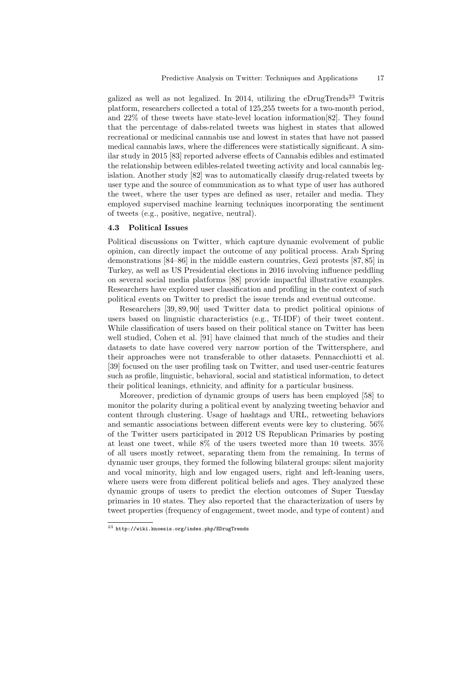galized as well as not legalized. In 2014, utilizing the eDrugTrends<sup>23</sup> Twitris platform, researchers collected a total of 125,255 tweets for a two-month period, and 22% of these tweets have state-level location information[82]. They found that the percentage of dabs-related tweets was highest in states that allowed recreational or medicinal cannabis use and lowest in states that have not passed medical cannabis laws, where the differences were statistically significant. A similar study in 2015 [83] reported adverse effects of Cannabis edibles and estimated the relationship between edibles-related tweeting activity and local cannabis legislation. Another study [82] was to automatically classify drug-related tweets by user type and the source of communication as to what type of user has authored the tweet, where the user types are defined as user, retailer and media. They employed supervised machine learning techniques incorporating the sentiment of tweets (e.g., positive, negative, neutral).

#### 4.3 Political Issues

Political discussions on Twitter, which capture dynamic evolvement of public opinion, can directly impact the outcome of any political process. Arab Spring demonstrations [84–86] in the middle eastern countries, Gezi protests [87, 85] in Turkey, as well as US Presidential elections in 2016 involving influence peddling on several social media platforms [88] provide impactful illustrative examples. Researchers have explored user classification and profiling in the context of such political events on Twitter to predict the issue trends and eventual outcome.

Researchers [39, 89, 90] used Twitter data to predict political opinions of users based on linguistic characteristics (e.g., Tf-IDF) of their tweet content. While classification of users based on their political stance on Twitter has been well studied, Cohen et al. [91] have claimed that much of the studies and their datasets to date have covered very narrow portion of the Twittersphere, and their approaches were not transferable to other datasets. Pennacchiotti et al. [39] focused on the user profiling task on Twitter, and used user-centric features such as profile, linguistic, behavioral, social and statistical information, to detect their political leanings, ethnicity, and affinity for a particular business.

Moreover, prediction of dynamic groups of users has been employed [58] to monitor the polarity during a political event by analyzing tweeting behavior and content through clustering. Usage of hashtags and URL, retweeting behaviors and semantic associations between different events were key to clustering. 56% of the Twitter users participated in 2012 US Republican Primaries by posting at least one tweet, while 8% of the users tweeted more than 10 tweets. 35% of all users mostly retweet, separating them from the remaining. In terms of dynamic user groups, they formed the following bilateral groups: silent majority and vocal minority, high and low engaged users, right and left-leaning users, where users were from different political beliefs and ages. They analyzed these dynamic groups of users to predict the election outcomes of Super Tuesday primaries in 10 states. They also reported that the characterization of users by tweet properties (frequency of engagement, tweet mode, and type of content) and

 $^{23}$ http://wiki.knoesis.org/index.php/EDrugTrends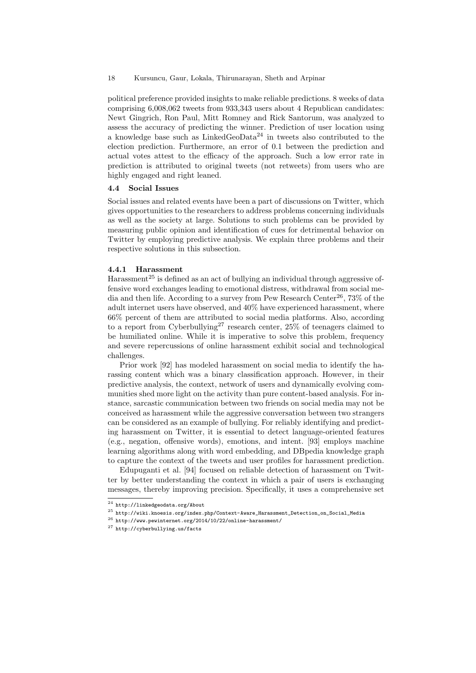political preference provided insights to make reliable predictions. 8 weeks of data comprising 6,008,062 tweets from 933,343 users about 4 Republican candidates: Newt Gingrich, Ron Paul, Mitt Romney and Rick Santorum, was analyzed to assess the accuracy of predicting the winner. Prediction of user location using a knowledge base such as LinkedGeoData<sup>24</sup> in tweets also contributed to the election prediction. Furthermore, an error of 0.1 between the prediction and actual votes attest to the efficacy of the approach. Such a low error rate in prediction is attributed to original tweets (not retweets) from users who are highly engaged and right leaned.

## 4.4 Social Issues

Social issues and related events have been a part of discussions on Twitter, which gives opportunities to the researchers to address problems concerning individuals as well as the society at large. Solutions to such problems can be provided by measuring public opinion and identification of cues for detrimental behavior on Twitter by employing predictive analysis. We explain three problems and their respective solutions in this subsection.

# 4.4.1 Harassment

Harassment<sup>25</sup> is defined as an act of bullying an individual through aggressive offensive word exchanges leading to emotional distress, withdrawal from social media and then life. According to a survey from Pew Research Center<sup>26</sup>, 73\% of the adult internet users have observed, and 40% have experienced harassment, where 66% percent of them are attributed to social media platforms. Also, according to a report from Cyberbullying<sup>27</sup> research center,  $25\%$  of teenagers claimed to be humiliated online. While it is imperative to solve this problem, frequency and severe repercussions of online harassment exhibit social and technological challenges.

Prior work [92] has modeled harassment on social media to identify the harassing content which was a binary classification approach. However, in their predictive analysis, the context, network of users and dynamically evolving communities shed more light on the activity than pure content-based analysis. For instance, sarcastic communication between two friends on social media may not be conceived as harassment while the aggressive conversation between two strangers can be considered as an example of bullying. For reliably identifying and predicting harassment on Twitter, it is essential to detect language-oriented features (e.g., negation, offensive words), emotions, and intent. [93] employs machine learning algorithms along with word embedding, and DBpedia knowledge graph to capture the context of the tweets and user profiles for harassment prediction.

Edupuganti et al. [94] focused on reliable detection of harassment on Twitter by better understanding the context in which a pair of users is exchanging messages, thereby improving precision. Specifically, it uses a comprehensive set

 $\overline{a^24}$  http://linkedgeodata.org/About

 $^{25}$ http://wiki.knoesis.org/index.php/Context-Aware\_Harassment\_Detection\_on\_Social\_Media

<sup>26</sup> http://www.pewinternet.org/2014/10/22/online-harassment/

 $^{27}$ http://cyberbullying.us/facts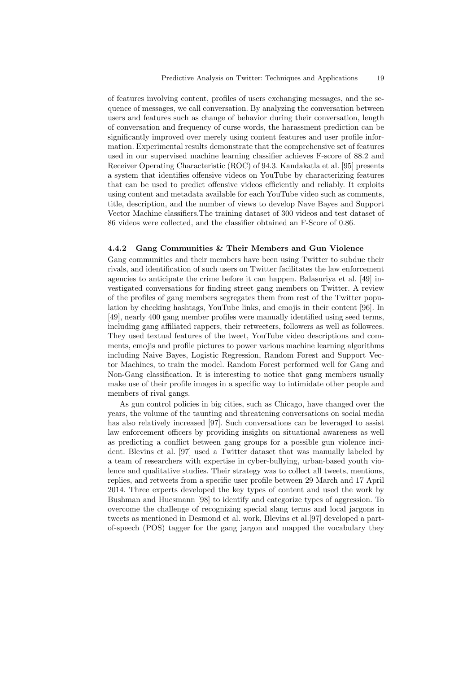of features involving content, profiles of users exchanging messages, and the sequence of messages, we call conversation. By analyzing the conversation between users and features such as change of behavior during their conversation, length of conversation and frequency of curse words, the harassment prediction can be significantly improved over merely using content features and user profile information. Experimental results demonstrate that the comprehensive set of features used in our supervised machine learning classifier achieves F-score of 88.2 and Receiver Operating Characteristic (ROC) of 94.3. Kandakatla et al. [95] presents a system that identifies offensive videos on YouTube by characterizing features that can be used to predict offensive videos efficiently and reliably. It exploits using content and metadata available for each YouTube video such as comments, title, description, and the number of views to develop Nave Bayes and Support Vector Machine classifiers.The training dataset of 300 videos and test dataset of 86 videos were collected, and the classifier obtained an F-Score of 0.86.

#### 4.4.2 Gang Communities & Their Members and Gun Violence

Gang communities and their members have been using Twitter to subdue their rivals, and identification of such users on Twitter facilitates the law enforcement agencies to anticipate the crime before it can happen. Balasuriya et al. [49] investigated conversations for finding street gang members on Twitter. A review of the profiles of gang members segregates them from rest of the Twitter population by checking hashtags, YouTube links, and emojis in their content [96]. In [49], nearly 400 gang member profiles were manually identified using seed terms, including gang affiliated rappers, their retweeters, followers as well as followees. They used textual features of the tweet, YouTube video descriptions and comments, emojis and profile pictures to power various machine learning algorithms including Naive Bayes, Logistic Regression, Random Forest and Support Vector Machines, to train the model. Random Forest performed well for Gang and Non-Gang classification. It is interesting to notice that gang members usually make use of their profile images in a specific way to intimidate other people and members of rival gangs.

As gun control policies in big cities, such as Chicago, have changed over the years, the volume of the taunting and threatening conversations on social media has also relatively increased [97]. Such conversations can be leveraged to assist law enforcement officers by providing insights on situational awareness as well as predicting a conflict between gang groups for a possible gun violence incident. Blevins et al. [97] used a Twitter dataset that was manually labeled by a team of researchers with expertise in cyber-bullying, urban-based youth violence and qualitative studies. Their strategy was to collect all tweets, mentions, replies, and retweets from a specific user profile between 29 March and 17 April 2014. Three experts developed the key types of content and used the work by Bushman and Huesmann [98] to identify and categorize types of aggression. To overcome the challenge of recognizing special slang terms and local jargons in tweets as mentioned in Desmond et al. work, Blevins et al.[97] developed a partof-speech (POS) tagger for the gang jargon and mapped the vocabulary they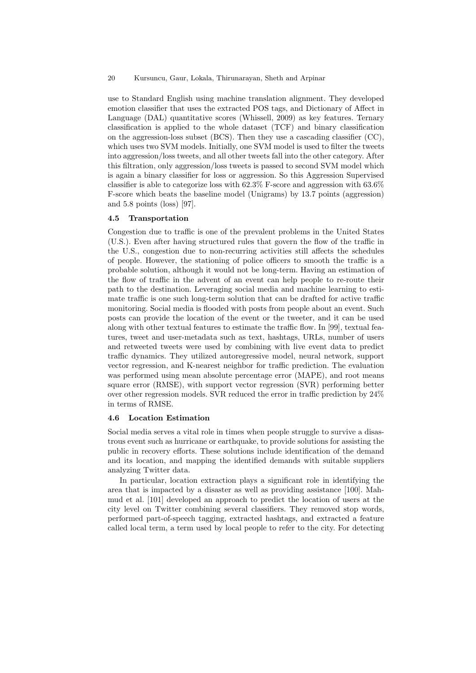use to Standard English using machine translation alignment. They developed emotion classifier that uses the extracted POS tags, and Dictionary of Affect in Language (DAL) quantitative scores (Whissell, 2009) as key features. Ternary classification is applied to the whole dataset (TCF) and binary classification on the aggression-loss subset (BCS). Then they use a cascading classifier (CC), which uses two SVM models. Initially, one SVM model is used to filter the tweets into aggression/loss tweets, and all other tweets fall into the other category. After this filtration, only aggression/loss tweets is passed to second SVM model which is again a binary classifier for loss or aggression. So this Aggression Supervised classifier is able to categorize loss with 62.3% F-score and aggression with 63.6% F-score which beats the baseline model (Unigrams) by 13.7 points (aggression) and 5.8 points (loss) [97].

## 4.5 Transportation

Congestion due to traffic is one of the prevalent problems in the United States (U.S.). Even after having structured rules that govern the flow of the traffic in the U.S., congestion due to non-recurring activities still affects the schedules of people. However, the stationing of police officers to smooth the traffic is a probable solution, although it would not be long-term. Having an estimation of the flow of traffic in the advent of an event can help people to re-route their path to the destination. Leveraging social media and machine learning to estimate traffic is one such long-term solution that can be drafted for active traffic monitoring. Social media is flooded with posts from people about an event. Such posts can provide the location of the event or the tweeter, and it can be used along with other textual features to estimate the traffic flow. In [99], textual features, tweet and user-metadata such as text, hashtags, URLs, number of users and retweeted tweets were used by combining with live event data to predict traffic dynamics. They utilized autoregressive model, neural network, support vector regression, and K-nearest neighbor for traffic prediction. The evaluation was performed using mean absolute percentage error (MAPE), and root means square error (RMSE), with support vector regression (SVR) performing better over other regression models. SVR reduced the error in traffic prediction by 24% in terms of RMSE.

#### 4.6 Location Estimation

Social media serves a vital role in times when people struggle to survive a disastrous event such as hurricane or earthquake, to provide solutions for assisting the public in recovery efforts. These solutions include identification of the demand and its location, and mapping the identified demands with suitable suppliers analyzing Twitter data.

In particular, location extraction plays a significant role in identifying the area that is impacted by a disaster as well as providing assistance [100]. Mahmud et al. [101] developed an approach to predict the location of users at the city level on Twitter combining several classifiers. They removed stop words, performed part-of-speech tagging, extracted hashtags, and extracted a feature called local term, a term used by local people to refer to the city. For detecting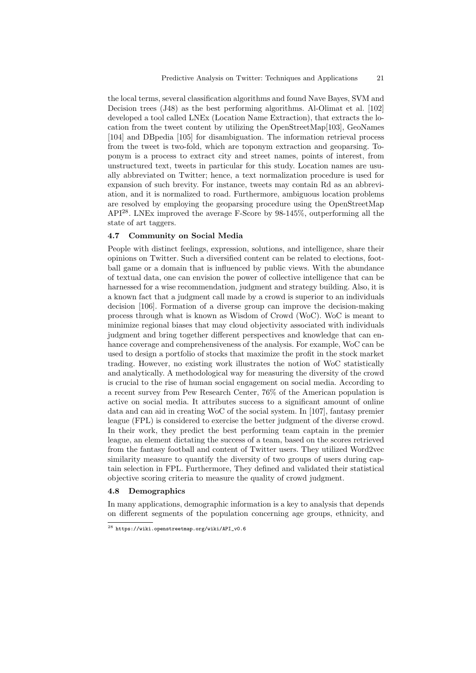the local terms, several classification algorithms and found Nave Bayes, SVM and Decision trees (J48) as the best performing algorithms. Al-Olimat et al. [102] developed a tool called LNEx (Location Name Extraction), that extracts the location from the tweet content by utilizing the OpenStreetMap[103], GeoNames [104] and DBpedia [105] for disambiguation. The information retrieval process from the tweet is two-fold, which are toponym extraction and geoparsing. Toponym is a process to extract city and street names, points of interest, from unstructured text, tweets in particular for this study. Location names are usually abbreviated on Twitter; hence, a text normalization procedure is used for expansion of such brevity. For instance, tweets may contain Rd as an abbreviation, and it is normalized to road. Furthermore, ambiguous location problems are resolved by employing the geoparsing procedure using the OpenStreetMap API28. LNEx improved the average F-Score by 98-145%, outperforming all the state of art taggers.

#### 4.7 Community on Social Media

People with distinct feelings, expression, solutions, and intelligence, share their opinions on Twitter. Such a diversified content can be related to elections, football game or a domain that is influenced by public views. With the abundance of textual data, one can envision the power of collective intelligence that can be harnessed for a wise recommendation, judgment and strategy building. Also, it is a known fact that a judgment call made by a crowd is superior to an individuals decision [106]. Formation of a diverse group can improve the decision-making process through what is known as Wisdom of Crowd (WoC). WoC is meant to minimize regional biases that may cloud objectivity associated with individuals judgment and bring together different perspectives and knowledge that can enhance coverage and comprehensiveness of the analysis. For example, WoC can be used to design a portfolio of stocks that maximize the profit in the stock market trading. However, no existing work illustrates the notion of WoC statistically and analytically. A methodological way for measuring the diversity of the crowd is crucial to the rise of human social engagement on social media. According to a recent survey from Pew Research Center, 76% of the American population is active on social media. It attributes success to a significant amount of online data and can aid in creating WoC of the social system. In [107], fantasy premier league (FPL) is considered to exercise the better judgment of the diverse crowd. In their work, they predict the best performing team captain in the premier league, an element dictating the success of a team, based on the scores retrieved from the fantasy football and content of Twitter users. They utilized Word2vec similarity measure to quantify the diversity of two groups of users during captain selection in FPL. Furthermore, They defined and validated their statistical objective scoring criteria to measure the quality of crowd judgment.

# 4.8 Demographics

In many applications, demographic information is a key to analysis that depends on different segments of the population concerning age groups, ethnicity, and

<sup>28</sup> https://wiki.openstreetmap.org/wiki/API\_v0.6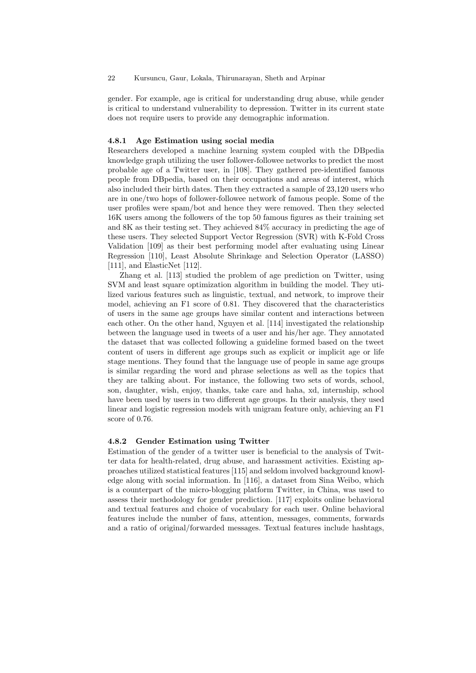gender. For example, age is critical for understanding drug abuse, while gender is critical to understand vulnerability to depression. Twitter in its current state does not require users to provide any demographic information.

#### 4.8.1 Age Estimation using social media

Researchers developed a machine learning system coupled with the DBpedia knowledge graph utilizing the user follower-followee networks to predict the most probable age of a Twitter user, in [108]. They gathered pre-identified famous people from DBpedia, based on their occupations and areas of interest, which also included their birth dates. Then they extracted a sample of 23,120 users who are in one/two hops of follower-followee network of famous people. Some of the user profiles were spam/bot and hence they were removed. Then they selected 16K users among the followers of the top 50 famous figures as their training set and 8K as their testing set. They achieved 84% accuracy in predicting the age of these users. They selected Support Vector Regression (SVR) with K-Fold Cross Validation [109] as their best performing model after evaluating using Linear Regression [110], Least Absolute Shrinkage and Selection Operator (LASSO) [111], and ElasticNet [112].

Zhang et al. [113] studied the problem of age prediction on Twitter, using SVM and least square optimization algorithm in building the model. They utilized various features such as linguistic, textual, and network, to improve their model, achieving an F1 score of 0.81. They discovered that the characteristics of users in the same age groups have similar content and interactions between each other. On the other hand, Nguyen et al. [114] investigated the relationship between the language used in tweets of a user and his/her age. They annotated the dataset that was collected following a guideline formed based on the tweet content of users in different age groups such as explicit or implicit age or life stage mentions. They found that the language use of people in same age groups is similar regarding the word and phrase selections as well as the topics that they are talking about. For instance, the following two sets of words, school, son, daughter, wish, enjoy, thanks, take care and haha, xd, internship, school have been used by users in two different age groups. In their analysis, they used linear and logistic regression models with unigram feature only, achieving an F1 score of 0.76.

## 4.8.2 Gender Estimation using Twitter

Estimation of the gender of a twitter user is beneficial to the analysis of Twitter data for health-related, drug abuse, and harassment activities. Existing approaches utilized statistical features [115] and seldom involved background knowledge along with social information. In [116], a dataset from Sina Weibo, which is a counterpart of the micro-blogging platform Twitter, in China, was used to assess their methodology for gender prediction. [117] exploits online behavioral and textual features and choice of vocabulary for each user. Online behavioral features include the number of fans, attention, messages, comments, forwards and a ratio of original/forwarded messages. Textual features include hashtags,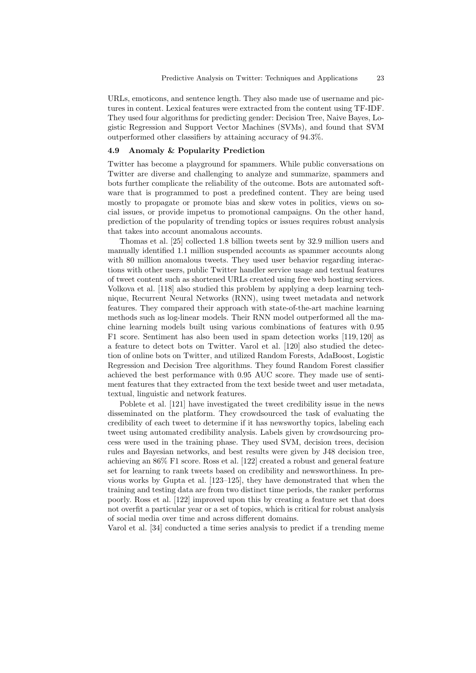URLs, emoticons, and sentence length. They also made use of username and pictures in content. Lexical features were extracted from the content using TF-IDF. They used four algorithms for predicting gender: Decision Tree, Naive Bayes, Logistic Regression and Support Vector Machines (SVMs), and found that SVM outperformed other classifiers by attaining accuracy of 94.3%.

#### 4.9 Anomaly & Popularity Prediction

Twitter has become a playground for spammers. While public conversations on Twitter are diverse and challenging to analyze and summarize, spammers and bots further complicate the reliability of the outcome. Bots are automated software that is programmed to post a predefined content. They are being used mostly to propagate or promote bias and skew votes in politics, views on social issues, or provide impetus to promotional campaigns. On the other hand, prediction of the popularity of trending topics or issues requires robust analysis that takes into account anomalous accounts.

Thomas et al. [25] collected 1.8 billion tweets sent by 32.9 million users and manually identified 1.1 million suspended accounts as spammer accounts along with 80 million anomalous tweets. They used user behavior regarding interactions with other users, public Twitter handler service usage and textual features of tweet content such as shortened URLs created using free web hosting services. Volkova et al. [118] also studied this problem by applying a deep learning technique, Recurrent Neural Networks (RNN), using tweet metadata and network features. They compared their approach with state-of-the-art machine learning methods such as log-linear models. Their RNN model outperformed all the machine learning models built using various combinations of features with 0.95 F1 score. Sentiment has also been used in spam detection works [119, 120] as a feature to detect bots on Twitter. Varol et al. [120] also studied the detection of online bots on Twitter, and utilized Random Forests, AdaBoost, Logistic Regression and Decision Tree algorithms. They found Random Forest classifier achieved the best performance with 0.95 AUC score. They made use of sentiment features that they extracted from the text beside tweet and user metadata, textual, linguistic and network features.

Poblete et al. [121] have investigated the tweet credibility issue in the news disseminated on the platform. They crowdsourced the task of evaluating the credibility of each tweet to determine if it has newsworthy topics, labeling each tweet using automated credibility analysis. Labels given by crowdsourcing process were used in the training phase. They used SVM, decision trees, decision rules and Bayesian networks, and best results were given by J48 decision tree, achieving an 86% F1 score. Ross et al. [122] created a robust and general feature set for learning to rank tweets based on credibility and newsworthiness. In previous works by Gupta et al. [123–125], they have demonstrated that when the training and testing data are from two distinct time periods, the ranker performs poorly. Ross et al. [122] improved upon this by creating a feature set that does not overfit a particular year or a set of topics, which is critical for robust analysis of social media over time and across different domains.

Varol et al. [34] conducted a time series analysis to predict if a trending meme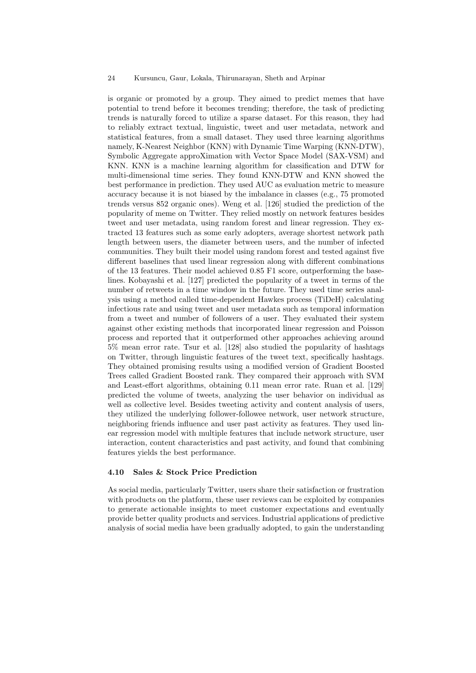is organic or promoted by a group. They aimed to predict memes that have potential to trend before it becomes trending; therefore, the task of predicting trends is naturally forced to utilize a sparse dataset. For this reason, they had to reliably extract textual, linguistic, tweet and user metadata, network and statistical features, from a small dataset. They used three learning algorithms namely, K-Nearest Neighbor (KNN) with Dynamic Time Warping (KNN-DTW), Symbolic Aggregate approXimation with Vector Space Model (SAX-VSM) and KNN. KNN is a machine learning algorithm for classification and DTW for multi-dimensional time series. They found KNN-DTW and KNN showed the best performance in prediction. They used AUC as evaluation metric to measure accuracy because it is not biased by the imbalance in classes (e.g., 75 promoted trends versus 852 organic ones). Weng et al. [126] studied the prediction of the popularity of meme on Twitter. They relied mostly on network features besides tweet and user metadata, using random forest and linear regression. They extracted 13 features such as some early adopters, average shortest network path length between users, the diameter between users, and the number of infected communities. They built their model using random forest and tested against five different baselines that used linear regression along with different combinations of the 13 features. Their model achieved 0.85 F1 score, outperforming the baselines. Kobayashi et al. [127] predicted the popularity of a tweet in terms of the number of retweets in a time window in the future. They used time series analysis using a method called time-dependent Hawkes process (TiDeH) calculating infectious rate and using tweet and user metadata such as temporal information from a tweet and number of followers of a user. They evaluated their system against other existing methods that incorporated linear regression and Poisson process and reported that it outperformed other approaches achieving around 5% mean error rate. Tsur et al. [128] also studied the popularity of hashtags on Twitter, through linguistic features of the tweet text, specifically hashtags. They obtained promising results using a modified version of Gradient Boosted Trees called Gradient Boosted rank. They compared their approach with SVM and Least-effort algorithms, obtaining 0.11 mean error rate. Ruan et al. [129] predicted the volume of tweets, analyzing the user behavior on individual as well as collective level. Besides tweeting activity and content analysis of users, they utilized the underlying follower-followee network, user network structure, neighboring friends influence and user past activity as features. They used linear regression model with multiple features that include network structure, user interaction, content characteristics and past activity, and found that combining features yields the best performance.

#### 4.10 Sales & Stock Price Prediction

As social media, particularly Twitter, users share their satisfaction or frustration with products on the platform, these user reviews can be exploited by companies to generate actionable insights to meet customer expectations and eventually provide better quality products and services. Industrial applications of predictive analysis of social media have been gradually adopted, to gain the understanding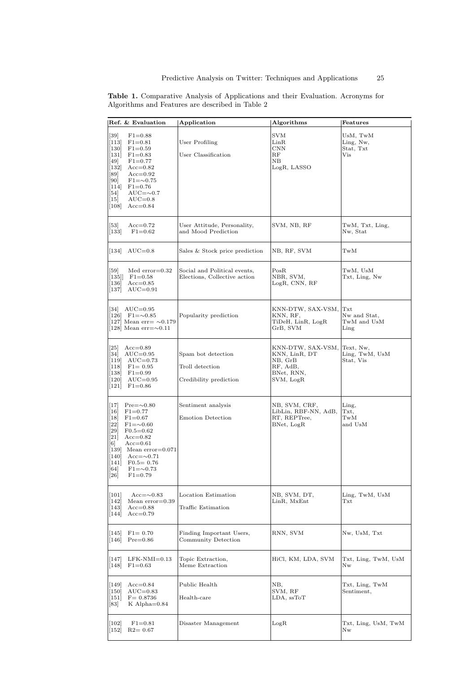|  |  |                                                  |  | <b>Table 1.</b> Comparative Analysis of Applications and their Evaluation. Acronyms for |  |
|--|--|--------------------------------------------------|--|-----------------------------------------------------------------------------------------|--|
|  |  | Algorithms and Features are described in Table 2 |  |                                                                                         |  |

| Ref. & Evaluation                                                                                                                                                                                                                                                                                           | Application                                                     | Algorithms                                                                                | Features                                                               |
|-------------------------------------------------------------------------------------------------------------------------------------------------------------------------------------------------------------------------------------------------------------------------------------------------------------|-----------------------------------------------------------------|-------------------------------------------------------------------------------------------|------------------------------------------------------------------------|
| [39]<br>$F1 = 0.88$<br>$F1 = 0.81$<br> 113 <br> 130 <br>$F1 = 0.59$<br> 131 <br>$F1 = 0.83$<br>[49]<br>$F1 = 0.77$<br> 132 <br>$Acc=0.82$<br> 89 <br>$Acc=0.92$<br> 90 <br>$F1 = \sim 0.75$<br>[114]<br>$F1 = 0.76$<br>$\text{AUC}=\sim0.7$<br> 54 <br> 15 <br>$AUC=0.8$<br>$Acc=0.84$<br>[108]             | User Profiling<br>User Classification                           | SVM<br>LinR<br><b>CNN</b><br>RF<br>NВ<br>LogR, LASSO                                      | UsM, TwM<br>Ling, Nw,<br>Stat, Txt<br>Vis                              |
| $\left[53\right]$<br>$Acc=0.72$<br>$[133]$<br>$F1 = 0.62$                                                                                                                                                                                                                                                   | User Attitude, Personality,<br>and Mood Prediction              | SVM, NB, RF                                                                               | TwM, Txt, Ling,<br>Nw, Stat                                            |
| 134 <br>$\text{AUC}=0.8$                                                                                                                                                                                                                                                                                    | Sales & Stock price prediction                                  | NB, RF, SVM                                                                               | TwM                                                                    |
| Med $error=0.32$<br> 59 <br>$F1 = 0.58$<br> 135  <br>$Acc=0.85$<br> 136 <br>$AUC=0.91$<br> 137                                                                                                                                                                                                              | Social and Political events,<br>Elections, Collective action    | PosR<br>NBR, SVM,<br>LogR, CNN, RF                                                        | TwM, UsM<br>Txt, Ling, Nw                                              |
| $AUC=0.95$<br> 34 <br>$F1 = 0.85$<br> 126 <br>[127] Mean err $\sim 0.179$<br>[128] Mean err $\approx 0.11$                                                                                                                                                                                                  | Popularity prediction                                           | KNN-DTW, SAX-VSM,<br>KNN, RF,<br>TiDeH, LinR, LogR<br>GrB, SVM                            | $_{\rm{Txt}}$<br>Nw and Stat.<br>$\text{TwM}$ and $\text{UsM}$<br>Ling |
| [25]<br>$Acc=0.89$<br>$AUC=0.95$<br> 34 <br>$AUC=0.73$<br> 119 <br> 118 <br>$F1 = 0.95$<br>$F1 = 0.99$<br> 138 <br>$[120]$<br>$AUC=0.95$<br>$[121]$<br>$F1 = 0.86$                                                                                                                                          | Spam bot detection<br>Troll detection<br>Credibility prediction | KNN-DTW, SAX-VSM,<br>KNN, LinR, DT<br>NB, GrB<br>RF, AdB,<br>BNet, RNN,<br>$SVM$ , $LogR$ | Text, Nw,<br>Ling, TwM, UsM<br>Stat, Vis                               |
| 17 <br>$Pre=\sim0.80$<br>$F1 = 0.77$<br> 16 <br>$F1 = 0.67$<br> 18 <br> 22 <br>$F1 = 0.60$<br>$\left[ 29\right]$<br>$F0.5=0.62$<br>$Acc=0.82$<br> 21 <br>$Acc=0.61$<br>[6]<br>Mean $error=0.071$<br> 139 <br>$Acc=\sim0.71$<br> 140 <br>$F0.5 = 0.76$<br> 141 <br> 64 <br>$F1 = 0.73$<br>$F1 = 0.79$<br> 26 | Sentiment analysis<br>Emotion Detection                         | NB, SVM, CRF,<br>LibLin, RBF-NN, AdB,<br>RT, REPTree,<br>BNet, LogR                       | Ling,<br>$\operatorname{Txt},$<br>$\text{TwM}$<br>and UsM              |
| $[101]$<br>$Acc=\sim0.83$<br>[142]<br>Mean $error=0.39$<br> 143 <br>$Acc=0.88$<br>$Acc=0.79$<br> 144                                                                                                                                                                                                        | Location Estimation<br>Traffic Estimation                       | NB, SVM, DT,<br>LinR, MxEnt                                                               | Ling, TwM, UsM<br>$_{\rm{Txt}}$                                        |
| $F1 = 0.70$<br> 145 <br>$Pre=0.86$<br> 146                                                                                                                                                                                                                                                                  | Finding Important Users,<br>Community Detection                 | RNN, SVM                                                                                  | Nw, UsM, Txt                                                           |
| $LFK-NMI=0.13$<br> 147 <br>$[148]$<br>$F1 = 0.63$                                                                                                                                                                                                                                                           | Topic Extraction,<br>Meme Extraction                            | HiCl, KM, LDA, SVM                                                                        | Txt, Ling, TwM, UsM<br>Nw                                              |
| $[149]$<br>$Acc=0.84$<br>$[150]$<br>$\text{AUC}=0.83$<br>$F = 0.8736$<br> 151 <br>$\left[83\right]$<br>$K$ Alpha $=$ 0.84                                                                                                                                                                                   | Public Health<br>$Health\text{-}\mathrm{care}$                  | NB,<br>SVM, RF<br>$LDA$ , ss $TOT$                                                        | Txt, Ling, TwM<br>Sentiment,                                           |
| 102 <br>$F1 = 0.81$<br>$[152]$<br>$R2 = 0.67$                                                                                                                                                                                                                                                               | Disaster Management                                             | LogR                                                                                      | Txt, Ling, UsM, TwM<br>Nw                                              |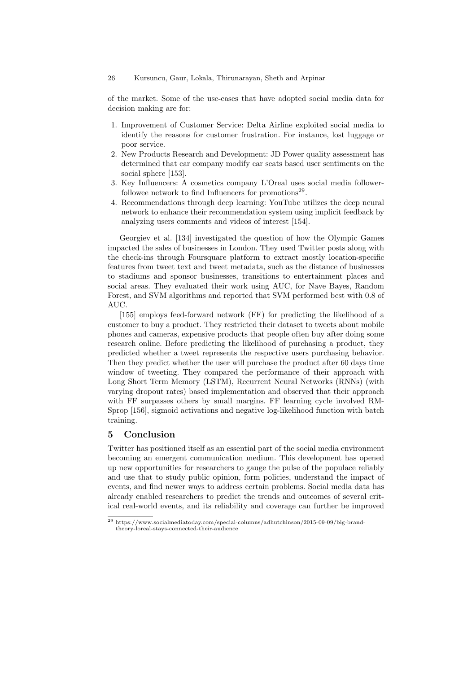of the market. Some of the use-cases that have adopted social media data for decision making are for:

- 1. Improvement of Customer Service: Delta Airline exploited social media to identify the reasons for customer frustration. For instance, lost luggage or poor service.
- 2. New Products Research and Development: JD Power quality assessment has determined that car company modify car seats based user sentiments on the social sphere [153].
- 3. Key Influencers: A cosmetics company L'Oreal uses social media followerfollowee network to find Influencers for promotions<sup>29</sup>.
- 4. Recommendations through deep learning: YouTube utilizes the deep neural network to enhance their recommendation system using implicit feedback by analyzing users comments and videos of interest [154].

Georgiev et al. [134] investigated the question of how the Olympic Games impacted the sales of businesses in London. They used Twitter posts along with the check-ins through Foursquare platform to extract mostly location-specific features from tweet text and tweet metadata, such as the distance of businesses to stadiums and sponsor businesses, transitions to entertainment places and social areas. They evaluated their work using AUC, for Nave Bayes, Random Forest, and SVM algorithms and reported that SVM performed best with 0.8 of AUC.

[155] employs feed-forward network (FF) for predicting the likelihood of a customer to buy a product. They restricted their dataset to tweets about mobile phones and cameras, expensive products that people often buy after doing some research online. Before predicting the likelihood of purchasing a product, they predicted whether a tweet represents the respective users purchasing behavior. Then they predict whether the user will purchase the product after 60 days time window of tweeting. They compared the performance of their approach with Long Short Term Memory (LSTM), Recurrent Neural Networks (RNNs) (with varying dropout rates) based implementation and observed that their approach with FF surpasses others by small margins. FF learning cycle involved RM-Sprop [156], sigmoid activations and negative log-likelihood function with batch training.

## 5 Conclusion

Twitter has positioned itself as an essential part of the social media environment becoming an emergent communication medium. This development has opened up new opportunities for researchers to gauge the pulse of the populace reliably and use that to study public opinion, form policies, understand the impact of events, and find newer ways to address certain problems. Social media data has already enabled researchers to predict the trends and outcomes of several critical real-world events, and its reliability and coverage can further be improved

 $^{29}$ https://www.socialmediatoday.com/special-columns/adhutchinson/2015-09-09/big-brandtheory-loreal-stays-connected-their-audience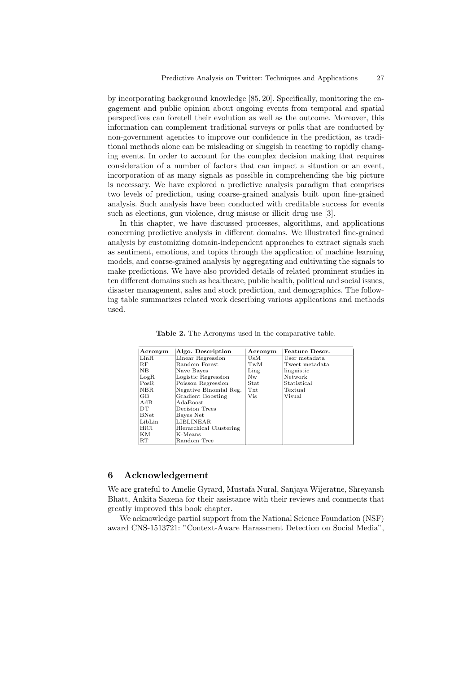by incorporating background knowledge [85, 20]. Specifically, monitoring the engagement and public opinion about ongoing events from temporal and spatial perspectives can foretell their evolution as well as the outcome. Moreover, this information can complement traditional surveys or polls that are conducted by non-government agencies to improve our confidence in the prediction, as traditional methods alone can be misleading or sluggish in reacting to rapidly changing events. In order to account for the complex decision making that requires consideration of a number of factors that can impact a situation or an event, incorporation of as many signals as possible in comprehending the big picture is necessary. We have explored a predictive analysis paradigm that comprises two levels of prediction, using coarse-grained analysis built upon fine-grained analysis. Such analysis have been conducted with creditable success for events such as elections, gun violence, drug misuse or illicit drug use [3].

In this chapter, we have discussed processes, algorithms, and applications concerning predictive analysis in different domains. We illustrated fine-grained analysis by customizing domain-independent approaches to extract signals such as sentiment, emotions, and topics through the application of machine learning models, and coarse-grained analysis by aggregating and cultivating the signals to make predictions. We have also provided details of related prominent studies in ten different domains such as healthcare, public health, political and social issues, disaster management, sales and stock prediction, and demographics. The following table summarizes related work describing various applications and methods used.

| Acronym | Algo. Description       | Acronym              | Feature Descr. |
|---------|-------------------------|----------------------|----------------|
| LinR    | Linear Regression       | UsM                  | User metadata  |
| RF      | Random Forest           | TwM                  | Tweet metadata |
| NB      | Nave Bayes              | Ling                 | linguistic     |
| LogR    | Logistic Regression     | Nw                   | Network        |
| PosR    | Poisson Regression      | Stat                 | Statistical    |
| NBR     | Negative Binomial Reg.  | $\operatorname{Txt}$ | Textual        |
| GB.     | Gradient Boosting       | Vis                  | Visual         |
| AdB     | AdaBoost                |                      |                |
| DT      | Decision Trees          |                      |                |
| BNet    | Bayes Net               |                      |                |
| LibLin  | LIBLINEAR.              |                      |                |
| HiCl    | Hierarchical Clustering |                      |                |
| KM      | K-Means                 |                      |                |
| RT      | Random Tree             |                      |                |

Table 2. The Acronyms used in the comparative table.

# 6 Acknowledgement

We are grateful to Amelie Gyrard, Mustafa Nural, Sanjaya Wijeratne, Shreyansh Bhatt, Ankita Saxena for their assistance with their reviews and comments that greatly improved this book chapter.

We acknowledge partial support from the National Science Foundation (NSF) award CNS-1513721: "Context-Aware Harassment Detection on Social Media",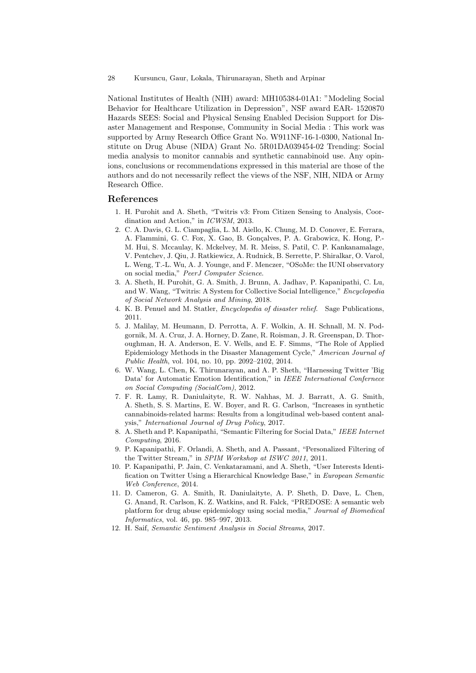National Institutes of Health (NIH) award: MH105384-01A1: "Modeling Social Behavior for Healthcare Utilization in Depression", NSF award EAR- 1520870 Hazards SEES: Social and Physical Sensing Enabled Decision Support for Disaster Management and Response, Community in Social Media : This work was supported by Army Research Office Grant No. W911NF-16-1-0300, National Institute on Drug Abuse (NIDA) Grant No. 5R01DA039454-02 Trending: Social media analysis to monitor cannabis and synthetic cannabinoid use. Any opinions, conclusions or recommendations expressed in this material are those of the authors and do not necessarily reflect the views of the NSF, NIH, NIDA or Army Research Office.

## References

- 1. H. Purohit and A. Sheth, "Twitris v3: From Citizen Sensing to Analysis, Coordination and Action," in ICWSM, 2013.
- 2. C. A. Davis, G. L. Ciampaglia, L. M. Aiello, K. Chung, M. D. Conover, E. Ferrara, A. Flammini, G. C. Fox, X. Gao, B. Gonçalves, P. A. Grabowicz, K. Hong, P.-M. Hui, S. Mccaulay, K. Mckelvey, M. R. Meiss, S. Patil, C. P. Kankanamalage, V. Pentchev, J. Qiu, J. Ratkiewicz, A. Rudnick, B. Serrette, P. Shiralkar, O. Varol, L. Weng, T.-L. Wu, A. J. Younge, and F. Menczer, "OSoMe: the IUNI observatory on social media," PeerJ Computer Science.
- 3. A. Sheth, H. Purohit, G. A. Smith, J. Brunn, A. Jadhav, P. Kapanipathi, C. Lu, and W. Wang, "Twitris: A System for Collective Social Intelligence," Encyclopedia of Social Network Analysis and Mining, 2018.
- 4. K. B. Penuel and M. Statler, Encyclopedia of disaster relief. Sage Publications, 2011.
- 5. J. Malilay, M. Heumann, D. Perrotta, A. F. Wolkin, A. H. Schnall, M. N. Podgornik, M. A. Cruz, J. A. Horney, D. Zane, R. Roisman, J. R. Greenspan, D. Thoroughman, H. A. Anderson, E. V. Wells, and E. F. Simms, "The Role of Applied Epidemiology Methods in the Disaster Management Cycle," American Journal of Public Health, vol. 104, no. 10, pp. 2092–2102, 2014.
- 6. W. Wang, L. Chen, K. Thirunarayan, and A. P. Sheth, "Harnessing Twitter 'Big Data' for Automatic Emotion Identification," in IEEE International Confernece on Social Computing (SocialCom), 2012.
- 7. F. R. Lamy, R. Daniulaityte, R. W. Nahhas, M. J. Barratt, A. G. Smith, A. Sheth, S. S. Martins, E. W. Boyer, and R. G. Carlson, "Increases in synthetic cannabinoids-related harms: Results from a longitudinal web-based content analysis," International Journal of Drug Policy, 2017.
- 8. A. Sheth and P. Kapanipathi, "Semantic Filtering for Social Data," IEEE Internet Computing, 2016.
- 9. P. Kapanipathi, F. Orlandi, A. Sheth, and A. Passant, "Personalized Filtering of the Twitter Stream," in SPIM Workshop at ISWC 2011, 2011.
- 10. P. Kapanipathi, P. Jain, C. Venkataramani, and A. Sheth, "User Interests Identification on Twitter Using a Hierarchical Knowledge Base," in European Semantic Web Conference, 2014.
- 11. D. Cameron, G. A. Smith, R. Daniulaityte, A. P. Sheth, D. Dave, L. Chen, G. Anand, R. Carlson, K. Z. Watkins, and R. Falck, "PREDOSE: A semantic web platform for drug abuse epidemiology using social media," Journal of Biomedical Informatics, vol. 46, pp. 985–997, 2013.
- 12. H. Saif, Semantic Sentiment Analysis in Social Streams, 2017.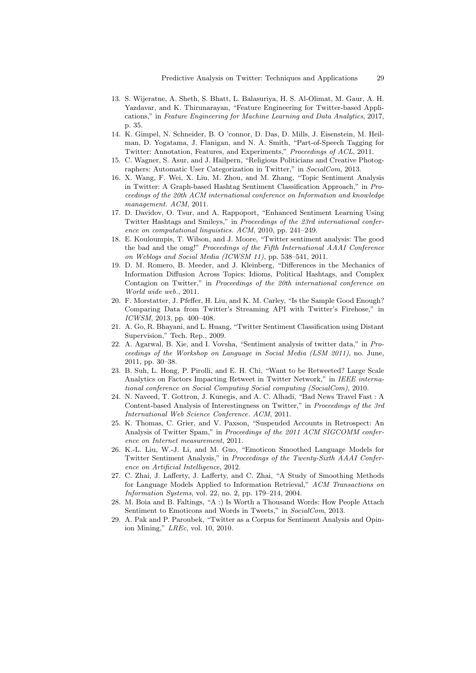- 13. S. Wijeratne, A. Sheth, S. Bhatt, L. Balasuriya, H. S. Al-Olimat, M. Gaur, A. H. Yazdavar, and K. Thirunarayan, "Feature Engineering for Twitter-based Applications," in Feature Engineering for Machine Learning and Data Analytics, 2017, p. 35.
- 14. K. Gimpel, N. Schneider, B. O 'connor, D. Das, D. Mills, J. Eisenstein, M. Heilman, D. Yogatama, J. Flanigan, and N. A. Smith, "Part-of-Speech Tagging for Twitter: Annotation, Features, and Experiments," Proceedings of ACL, 2011.
- 15. C. Wagner, S. Asur, and J. Hailpern, "Religious Politicians and Creative Photographers: Automatic User Categorization in Twitter," in SocialCom, 2013.
- 16. X. Wang, F. Wei, X. Liu, M. Zhou, and M. Zhang, "Topic Sentiment Analysis in Twitter: A Graph-based Hashtag Sentiment Classification Approach," in Proceedings of the 20th ACM international conference on Information and knowledge management. ACM, 2011.
- 17. D. Davidov, O. Tsur, and A. Rappoport, "Enhanced Sentiment Learning Using Twitter Hashtags and Smileys," in Proceedings of the 23rd international conference on computational linguistics. ACM, 2010, pp. 241–249.
- 18. E. Kouloumpis, T. Wilson, and J. Moore, "Twitter sentiment analysis: The good the bad and the omg!" Proceedings of the Fifth International AAAI Conference on Weblogs and Social Media (ICWSM 11), pp. 538–541, 2011.
- 19. D. M. Romero, B. Meeder, and J. Kleinberg, "Differences in the Mechanics of Information Diffusion Across Topics: Idioms, Political Hashtags, and Complex Contagion on Twitter," in Proceedings of the 20th international conference on World wide web., 2011.
- 20. F. Morstatter, J. Pfeffer, H. Liu, and K. M. Carley, "Is the Sample Good Enough? Comparing Data from Twitter's Streaming API with Twitter's Firehose," in ICWSM, 2013, pp. 400–408.
- 21. A. Go, R. Bhayani, and L. Huang, "Twitter Sentiment Classification using Distant Supervision," Tech. Rep., 2009.
- 22. A. Agarwal, B. Xie, and I. Vovsha, "Sentiment analysis of twitter data," in Proceedings of the Workshop on Language in Social Media (LSM 2011), no. June, 2011, pp. 30–38.
- 23. B. Suh, L. Hong, P. Pirolli, and E. H. Chi, "Want to be Retweeted? Large Scale Analytics on Factors Impacting Retweet in Twitter Network," in IEEE international conference on Social Computing Social computing (SocialCom), 2010.
- 24. N. Naveed, T. Gottron, J. Kunegis, and A. C. Alhadi, "Bad News Travel Fast : A Content-based Analysis of Interestingness on Twitter," in Proceedings of the 3rd International Web Science Conference. ACM, 2011.
- 25. K. Thomas, C. Grier, and V. Paxson, "Suspended Accounts in Retrospect: An Analysis of Twitter Spam," in Proceedings of the 2011 ACM SIGCOMM conference on Internet measurement, 2011.
- 26. K.-L. Liu, W.-J. Li, and M. Guo, "Emoticon Smoothed Language Models for Twitter Sentiment Analysis," in Proceedings of the Twenty-Sixth AAAI Conference on Artificial Intelligence, 2012.
- 27. C. Zhai, J. Lafferty, J. Lafferty, and C. Zhai, "A Study of Smoothing Methods for Language Models Applied to Information Retrieval," ACM Transactions on Information Systems, vol. 22, no. 2, pp. 179–214, 2004.
- 28. M. Boia and B. Faltings, "A :) Is Worth a Thousand Words: How People Attach Sentiment to Emoticons and Words in Tweets," in SocialCom, 2013.
- 29. A. Pak and P. Paroubek, "Twitter as a Corpus for Sentiment Analysis and Opinion Mining," LREc, vol. 10, 2010.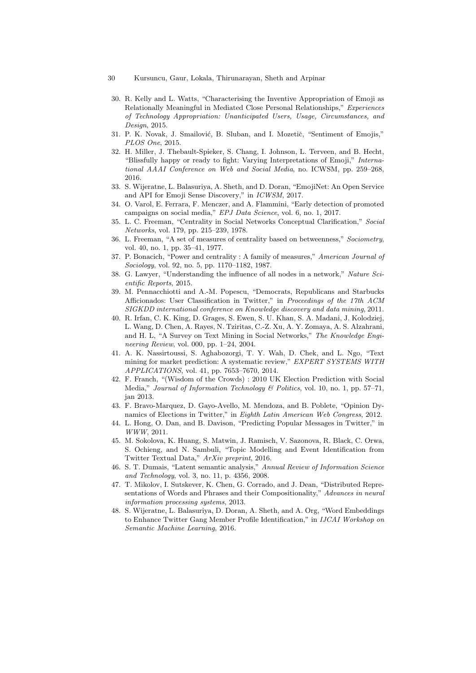- 30 Kursuncu, Gaur, Lokala, Thirunarayan, Sheth and Arpinar
- 30. R. Kelly and L. Watts, "Characterising the Inventive Appropriation of Emoji as Relationally Meaningful in Mediated Close Personal Relationships," Experiences of Technology Appropriation: Unanticipated Users, Usage, Circumstances, and Design, 2015.
- 31. P. K. Novak, J. Smailović, B. Sluban, and I. Mozetič, "Sentiment of Emojis," PLOS One, 2015.
- 32. H. Miller, J. Thebault-Spieker, S. Chang, I. Johnson, L. Terveen, and B. Hecht, "Blissfully happy or ready to fight: Varying Interpretations of Emoji," International AAAI Conference on Web and Social Media, no. ICWSM, pp. 259–268, 2016.
- 33. S. Wijeratne, L. Balasuriya, A. Sheth, and D. Doran, "EmojiNet: An Open Service and API for Emoji Sense Discovery," in ICWSM, 2017.
- 34. O. Varol, E. Ferrara, F. Menczer, and A. Flammini, "Early detection of promoted campaigns on social media," EPJ Data Science, vol. 6, no. 1, 2017.
- 35. L. C. Freeman, "Centrality in Social Networks Conceptual Clarification," Social Networks, vol. 179, pp. 215–239, 1978.
- 36. L. Freeman, "A set of measures of centrality based on betweenness," Sociometry, vol. 40, no. 1, pp. 35–41, 1977.
- 37. P. Bonacich, "Power and centrality : A family of measures," American Journal of Sociology, vol. 92, no. 5, pp. 1170–1182, 1987.
- 38. G. Lawyer, "Understanding the influence of all nodes in a network," Nature Scientific Reports, 2015.
- 39. M. Pennacchiotti and A.-M. Popescu, "Democrats, Republicans and Starbucks Afficionados: User Classification in Twitter," in Proceedings of the 17th ACM SIGKDD international conference on Knowledge discovery and data mining, 2011.
- 40. R. Irfan, C. K. King, D. Grages, S. Ewen, S. U. Khan, S. A. Madani, J. Kolodziej, L. Wang, D. Chen, A. Rayes, N. Tziritas, C.-Z. Xu, A. Y. Zomaya, A. S. Alzahrani, and H. L, "A Survey on Text Mining in Social Networks," The Knowledge Engineering Review, vol. 000, pp. 1–24, 2004.
- 41. A. K. Nassirtoussi, S. Aghabozorgi, T. Y. Wah, D. Chek, and L. Ngo, "Text mining for market prediction: A systematic review," EXPERT SYSTEMS WITH APPLICATIONS, vol. 41, pp. 7653–7670, 2014.
- 42. F. Franch, "(Wisdom of the Crowds) : 2010 UK Election Prediction with Social Media," Journal of Information Technology & Politics, vol. 10, no. 1, pp. 57–71, jan 2013.
- 43. F. Bravo-Marquez, D. Gayo-Avello, M. Mendoza, and B. Poblete, "Opinion Dynamics of Elections in Twitter," in Eighth Latin American Web Congress, 2012.
- 44. L. Hong, O. Dan, and B. Davison, "Predicting Popular Messages in Twitter," in WWW, 2011.
- 45. M. Sokolova, K. Huang, S. Matwin, J. Ramisch, V. Sazonova, R. Black, C. Orwa, S. Ochieng, and N. Sambuli, "Topic Modelling and Event Identification from Twitter Textual Data," ArXiv preprint, 2016.
- 46. S. T. Dumais, "Latent semantic analysis," Annual Review of Information Science and Technology, vol. 3, no. 11, p. 4356, 2008.
- 47. T. Mikolov, I. Sutskever, K. Chen, G. Corrado, and J. Dean, "Distributed Representations of Words and Phrases and their Compositionality," Advances in neural information processing systems, 2013.
- 48. S. Wijeratne, L. Balasuriya, D. Doran, A. Sheth, and A. Org, "Word Embeddings to Enhance Twitter Gang Member Profile Identification," in IJCAI Workshop on Semantic Machine Learning, 2016.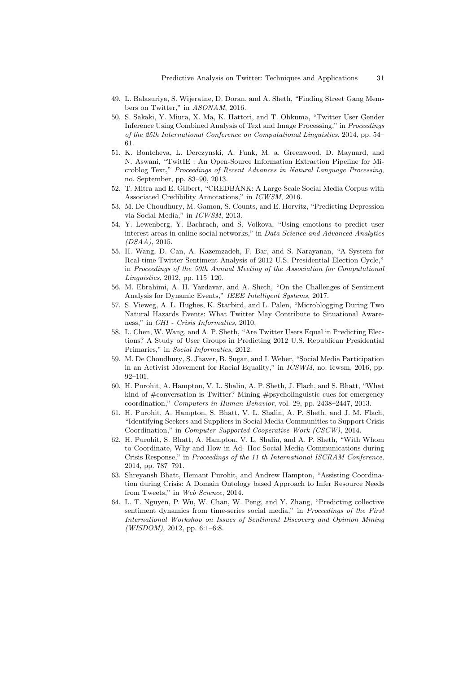- 49. L. Balasuriya, S. Wijeratne, D. Doran, and A. Sheth, "Finding Street Gang Members on Twitter," in ASONAM, 2016.
- 50. S. Sakaki, Y. Miura, X. Ma, K. Hattori, and T. Ohkuma, "Twitter User Gender Inference Using Combined Analysis of Text and Image Processing," in Proceedings of the 25th International Conference on Computational Linguistics, 2014, pp. 54– 61.
- 51. K. Bontcheva, L. Derczynski, A. Funk, M. a. Greenwood, D. Maynard, and N. Aswani, "TwitIE : An Open-Source Information Extraction Pipeline for Microblog Text," Proceedings of Recent Advances in Natural Language Processing, no. September, pp. 83–90, 2013.
- 52. T. Mitra and E. Gilbert, "CREDBANK: A Large-Scale Social Media Corpus with Associated Credibility Annotations," in ICWSM, 2016.
- 53. M. De Choudhury, M. Gamon, S. Counts, and E. Horvitz, "Predicting Depression via Social Media," in ICWSM, 2013.
- 54. Y. Lewenberg, Y. Bachrach, and S. Volkova, "Using emotions to predict user interest areas in online social networks," in Data Science and Advanced Analytics (DSAA), 2015.
- 55. H. Wang, D. Can, A. Kazemzadeh, F. Bar, and S. Narayanan, "A System for Real-time Twitter Sentiment Analysis of 2012 U.S. Presidential Election Cycle," in Proceedings of the 50th Annual Meeting of the Association for Computational Linguistics, 2012, pp. 115–120.
- 56. M. Ebrahimi, A. H. Yazdavar, and A. Sheth, "On the Challenges of Sentiment Analysis for Dynamic Events," IEEE Intelligent Systems, 2017.
- 57. S. Vieweg, A. L. Hughes, K. Starbird, and L. Palen, "Microblogging During Two Natural Hazards Events: What Twitter May Contribute to Situational Awareness," in CHI - Crisis Informatics, 2010.
- 58. L. Chen, W. Wang, and A. P. Sheth, "Are Twitter Users Equal in Predicting Elections? A Study of User Groups in Predicting 2012 U.S. Republican Presidential Primaries," in Social Informatics, 2012.
- 59. M. De Choudhury, S. Jhaver, B. Sugar, and I. Weber, "Social Media Participation in an Activist Movement for Racial Equality," in ICSWM, no. Icwsm, 2016, pp. 92–101.
- 60. H. Purohit, A. Hampton, V. L. Shalin, A. P. Sheth, J. Flach, and S. Bhatt, "What kind of  $\#$ conversation is Twitter? Mining  $\#$ psycholinguistic cues for emergency coordination," Computers in Human Behavior, vol. 29, pp. 2438–2447, 2013.
- 61. H. Purohit, A. Hampton, S. Bhatt, V. L. Shalin, A. P. Sheth, and J. M. Flach, "Identifying Seekers and Suppliers in Social Media Communities to Support Crisis Coordination," in *Computer Supported Cooperative Work (CSCW)*, 2014.
- 62. H. Purohit, S. Bhatt, A. Hampton, V. L. Shalin, and A. P. Sheth, "With Whom to Coordinate, Why and How in Ad- Hoc Social Media Communications during Crisis Response," in Proceedings of the 11 th International ISCRAM Conference, 2014, pp. 787–791.
- 63. Shreyansh Bhatt, Hemant Purohit, and Andrew Hampton, "Assisting Coordination during Crisis: A Domain Ontology based Approach to Infer Resource Needs from Tweets," in Web Science, 2014.
- 64. L. T. Nguyen, P. Wu, W. Chan, W. Peng, and Y. Zhang, "Predicting collective sentiment dynamics from time-series social media," in Proceedings of the First International Workshop on Issues of Sentiment Discovery and Opinion Mining  $(WISDOM)$ , 2012, pp. 6:1-6:8.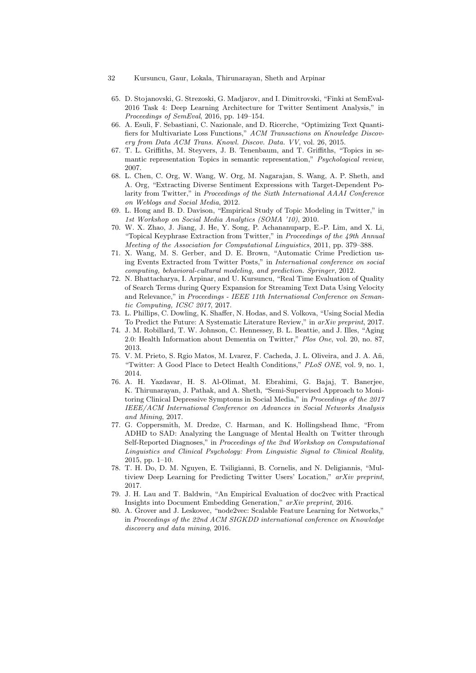- 32 Kursuncu, Gaur, Lokala, Thirunarayan, Sheth and Arpinar
- 65. D. Stojanovski, G. Strezoski, G. Madjarov, and I. Dimitrovski, "Finki at SemEval-2016 Task 4: Deep Learning Architecture for Twitter Sentiment Analysis," in Proceedings of SemEval, 2016, pp. 149–154.
- 66. A. Esuli, F. Sebastiani, C. Nazionale, and D. Ricerche, "Optimizing Text Quantifiers for Multivariate Loss Functions," ACM Transactions on Knowledge Discovery from Data ACM Trans. Knowl. Discov. Data. VV, vol. 26, 2015.
- 67. T. L. Griffiths, M. Steyvers, J. B. Tenenbaum, and T. Griffiths, "Topics in semantic representation Topics in semantic representation," Psychological review, 2007.
- 68. L. Chen, C. Org, W. Wang, W. Org, M. Nagarajan, S. Wang, A. P. Sheth, and A. Org, "Extracting Diverse Sentiment Expressions with Target-Dependent Polarity from Twitter," in Proceedings of the Sixth International AAAI Conference on Weblogs and Social Media, 2012.
- 69. L. Hong and B. D. Davison, "Empirical Study of Topic Modeling in Twitter," in 1st Workshop on Social Media Analytics (SOMA '10), 2010.
- 70. W. X. Zhao, J. Jiang, J. He, Y. Song, P. Achananuparp, E.-P. Lim, and X. Li, "Topical Keyphrase Extraction from Twitter," in Proceedings of the 49th Annual Meeting of the Association for Computational Linguistics, 2011, pp. 379–388.
- 71. X. Wang, M. S. Gerber, and D. E. Brown, "Automatic Crime Prediction using Events Extracted from Twitter Posts," in International conference on social computing, behavioral-cultural modeling, and prediction. Springer, 2012.
- 72. N. Bhattacharya, I. Arpinar, and U. Kursuncu, "Real Time Evaluation of Quality of Search Terms during Query Expansion for Streaming Text Data Using Velocity and Relevance," in Proceedings - IEEE 11th International Conference on Semantic Computing, ICSC 2017, 2017.
- 73. L. Phillips, C. Dowling, K. Shaffer, N. Hodas, and S. Volkova, "Using Social Media To Predict the Future: A Systematic Literature Review," in arXiv preprint, 2017.
- 74. J. M. Robillard, T. W. Johnson, C. Hennessey, B. L. Beattie, and J. Illes, "Aging 2.0: Health Information about Dementia on Twitter," Plos One, vol. 20, no. 87, 2013.
- 75. V. M. Prieto, S. Rgio Matos, M. Lvarez, F. Cacheda, J. L. Oliveira, and J. A. A˜n, "Twitter: A Good Place to Detect Health Conditions," PLoS ONE, vol. 9, no. 1, 2014.
- 76. A. H. Yazdavar, H. S. Al-Olimat, M. Ebrahimi, G. Bajaj, T. Banerjee, K. Thirunarayan, J. Pathak, and A. Sheth, "Semi-Supervised Approach to Monitoring Clinical Depressive Symptoms in Social Media," in Proceedings of the 2017 IEEE/ACM International Conference on Advances in Social Networks Analysis and Mining, 2017.
- 77. G. Coppersmith, M. Dredze, C. Harman, and K. Hollingshead Ihmc, "From ADHD to SAD: Analyzing the Language of Mental Health on Twitter through Self-Reported Diagnoses," in Proceedings of the 2nd Workshop on Computational Linguistics and Clinical Psychology: From Linguistic Signal to Clinical Reality, 2015, pp. 1–10.
- 78. T. H. Do, D. M. Nguyen, E. Tsiligianni, B. Cornelis, and N. Deligiannis, "Multiview Deep Learning for Predicting Twitter Users' Location," arXiv preprint, 2017.
- 79. J. H. Lau and T. Baldwin, "An Empirical Evaluation of doc2vec with Practical Insights into Document Embedding Generation," arXiv preprint, 2016.
- 80. A. Grover and J. Leskovec, "node2vec: Scalable Feature Learning for Networks," in Proceedings of the 22nd ACM SIGKDD international conference on Knowledge discovery and data mining, 2016.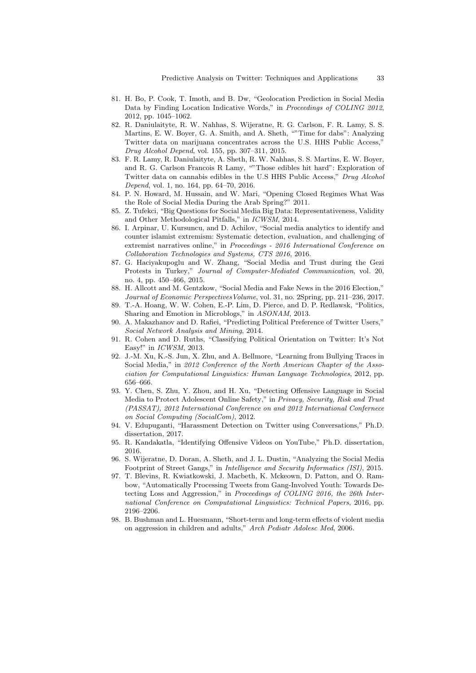- 81. H. Bo, P. Cook, T. Imoth, and B. Dw, "Geolocation Prediction in Social Media Data by Finding Location Indicative Words," in Proceedings of COLING 2012, 2012, pp. 1045–1062.
- 82. R. Daniulaityte, R. W. Nahhas, S. Wijeratne, R. G. Carlson, F. R. Lamy, S. S. Martins, E. W. Boyer, G. A. Smith, and A. Sheth, ""Time for dabs": Analyzing Twitter data on marijuana concentrates across the U.S. HHS Public Access,' Drug Alcohol Depend, vol. 155, pp. 307–311, 2015.
- 83. F. R. Lamy, R. Daniulaityte, A. Sheth, R. W. Nahhas, S. S. Martins, E. W. Boyer, and R. G. Carlson Francois R Lamy, ""Those edibles hit hard": Exploration of Twitter data on cannabis edibles in the U.S HHS Public Access," Drug Alcohol Depend, vol. 1, no. 164, pp. 64–70, 2016.
- 84. P. N. Howard, M. Hussain, and W. Mari, "Opening Closed Regimes What Was the Role of Social Media During the Arab Spring?" 2011.
- 85. Z. Tufekci, "Big Questions for Social Media Big Data: Representativeness, Validity and Other Methodological Pitfalls," in ICWSM, 2014.
- 86. I. Arpinar, U. Kursuncu, and D. Achilov, "Social media analytics to identify and counter islamist extremism: Systematic detection, evaluation, and challenging of extremist narratives online," in Proceedings - 2016 International Conference on Collaboration Technologies and Systems, CTS 2016, 2016.
- 87. G. Haciyakupoglu and W. Zhang, "Social Media and Trust during the Gezi Protests in Turkey," Journal of Computer-Mediated Communication, vol. 20, no. 4, pp. 450–466, 2015.
- 88. H. Allcott and M. Gentzkow, "Social Media and Fake News in the 2016 Election," Journal of Economic PerspectivesVolume, vol. 31, no. 2Spring, pp. 211–236, 2017.
- 89. T.-A. Hoang, W. W. Cohen, E.-P. Lim, D. Pierce, and D. P. Redlawsk, "Politics, Sharing and Emotion in Microblogs," in ASONAM, 2013.
- 90. A. Makazhanov and D. Rafiei, "Predicting Political Preference of Twitter Users," Social Network Analysis and Mining, 2014.
- 91. R. Cohen and D. Ruths, "Classifying Political Orientation on Twitter: It's Not Easy!" in *ICWSM*, 2013.
- 92. J.-M. Xu, K.-S. Jun, X. Zhu, and A. Bellmore, "Learning from Bullying Traces in Social Media," in 2012 Conference of the North American Chapter of the Association for Computational Linguistics: Human Language Technologies, 2012, pp. 656–666.
- 93. Y. Chen, S. Zhu, Y. Zhou, and H. Xu, "Detecting Offensive Language in Social Media to Protect Adolescent Online Safety," in Privacy, Security, Risk and Trust (PASSAT), 2012 International Conference on and 2012 International Confernece on Social Computing (SocialCom), 2012.
- 94. V. Edupuganti, "Harassment Detection on Twitter using Conversations," Ph.D. dissertation, 2017.
- 95. R. Kandakatla, "Identifying Offensive Videos on YouTube," Ph.D. dissertation, 2016.
- 96. S. Wijeratne, D. Doran, A. Sheth, and J. L. Dustin, "Analyzing the Social Media Footprint of Street Gangs," in Intelligence and Security Informatics (ISI), 2015.
- 97. T. Blevins, R. Kwiatkowski, J. Macbeth, K. Mckeown, D. Patton, and O. Rambow, "Automatically Processing Tweets from Gang-Involved Youth: Towards Detecting Loss and Aggression," in Proceedings of COLING 2016, the 26th International Conference on Computational Linguistics: Technical Papers, 2016, pp. 2196–2206.
- 98. B. Bushman and L. Huesmann, "Short-term and long-term effects of violent media on aggression in children and adults," Arch Pediatr Adolesc Med, 2006.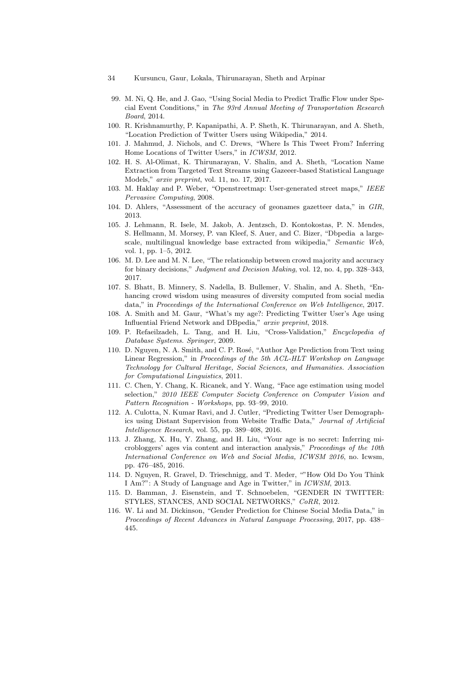- 34 Kursuncu, Gaur, Lokala, Thirunarayan, Sheth and Arpinar
- 99. M. Ni, Q. He, and J. Gao, "Using Social Media to Predict Traffic Flow under Special Event Conditions," in The 93rd Annual Meeting of Transportation Research Board, 2014.
- 100. R. Krishnamurthy, P. Kapanipathi, A. P. Sheth, K. Thirunarayan, and A. Sheth, "Location Prediction of Twitter Users using Wikipedia," 2014.
- 101. J. Mahmud, J. Nichols, and C. Drews, "Where Is This Tweet From? Inferring Home Locations of Twitter Users," in ICWSM, 2012.
- 102. H. S. Al-Olimat, K. Thirunarayan, V. Shalin, and A. Sheth, "Location Name Extraction from Targeted Text Streams using Gazeeer-based Statistical Language Models," arxiv preprint, vol. 11, no. 17, 2017.
- 103. M. Haklay and P. Weber, "Openstreetmap: User-generated street maps," IEEE Pervasive Computing, 2008.
- 104. D. Ahlers, "Assessment of the accuracy of geonames gazetteer data," in GIR, 2013.
- 105. J. Lehmann, R. Isele, M. Jakob, A. Jentzsch, D. Kontokostas, P. N. Mendes, S. Hellmann, M. Morsey, P. van Kleef, S. Auer, and C. Bizer, "Dbpedia a largescale, multilingual knowledge base extracted from wikipedia," Semantic Web, vol. 1, pp. 1–5, 2012.
- 106. M. D. Lee and M. N. Lee, "The relationship between crowd majority and accuracy for binary decisions," Judgment and Decision Making, vol. 12, no. 4, pp. 328–343, 2017.
- 107. S. Bhatt, B. Minnery, S. Nadella, B. Bullemer, V. Shalin, and A. Sheth, "Enhancing crowd wisdom using measures of diversity computed from social media data," in Proceedings of the International Conference on Web Intelligence, 2017.
- 108. A. Smith and M. Gaur, "What's my age?: Predicting Twitter User's Age using Influential Friend Network and DBpedia," arxiv preprint, 2018.
- 109. P. Refaeilzadeh, L. Tang, and H. Liu, "Cross-Validation," Encyclopedia of Database Systems. Springer, 2009.
- 110. D. Nguyen, N. A. Smith, and C. P. Rosé, "Author Age Prediction from Text using Linear Regression," in Proceedings of the 5th ACL-HLT Workshop on Language Technology for Cultural Heritage, Social Sciences, and Humanities. Association for Computational Linguistics, 2011.
- 111. C. Chen, Y. Chang, K. Ricanek, and Y. Wang, "Face age estimation using model selection," 2010 IEEE Computer Society Conference on Computer Vision and Pattern Recognition - Workshops, pp. 93–99, 2010.
- 112. A. Culotta, N. Kumar Ravi, and J. Cutler, "Predicting Twitter User Demographics using Distant Supervision from Website Traffic Data," Journal of Artificial Intelligence Research, vol. 55, pp. 389–408, 2016.
- 113. J. Zhang, X. Hu, Y. Zhang, and H. Liu, "Your age is no secret: Inferring microbloggers' ages via content and interaction analysis," Proceedings of the 10th International Conference on Web and Social Media, ICWSM 2016, no. Icwsm, pp. 476–485, 2016.
- 114. D. Nguyen, R. Gravel, D. Trieschnigg, and T. Meder, ""How Old Do You Think I Am?": A Study of Language and Age in Twitter," in ICWSM, 2013.
- 115. D. Bamman, J. Eisenstein, and T. Schnoebelen, "GENDER IN TWITTER: STYLES, STANCES, AND SOCIAL NETWORKS," CoRR, 2012.
- 116. W. Li and M. Dickinson, "Gender Prediction for Chinese Social Media Data," in Proceedings of Recent Advances in Natural Language Processing, 2017, pp. 438– 445.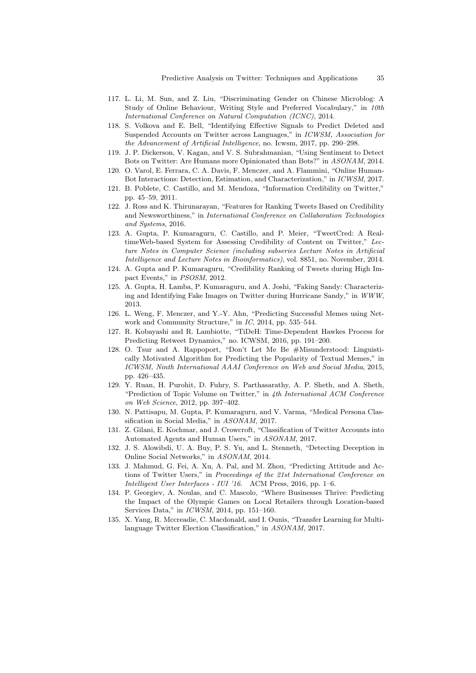- 117. L. Li, M. Sun, and Z. Liu, "Discriminating Gender on Chinese Microblog: A Study of Online Behaviour, Writing Style and Preferred Vocabulary," in 10th International Conference on Natural Computation (ICNC), 2014.
- 118. S. Volkova and E. Bell, "Identifying Effective Signals to Predict Deleted and Suspended Accounts on Twitter across Languages," in ICWSM, Association for the Advancement of Artificial Intelligence, no. Icwsm, 2017, pp. 290–298.
- 119. J. P. Dickerson, V. Kagan, and V. S. Subrahmanian, "Using Sentiment to Detect Bots on Twitter: Are Humans more Opinionated than Bots?" in ASONAM, 2014.
- 120. O. Varol, E. Ferrara, C. A. Davis, F. Menczer, and A. Flammini, "Online Human-Bot Interactions: Detection, Estimation, and Characterization," in ICWSM, 2017.
- 121. B. Poblete, C. Castillo, and M. Mendoza, "Information Credibility on Twitter," pp. 45–59, 2011.
- 122. J. Ross and K. Thirunarayan, "Features for Ranking Tweets Based on Credibility and Newsworthiness," in International Conference on Collaboration Technologies and Systems, 2016.
- 123. A. Gupta, P. Kumaraguru, C. Castillo, and P. Meier, "TweetCred: A RealtimeWeb-based System for Assessing Credibility of Content on Twitter," Lecture Notes in Computer Science (including subseries Lecture Notes in Artificial Intelligence and Lecture Notes in Bioinformatics), vol. 8851, no. November, 2014.
- 124. A. Gupta and P. Kumaraguru, "Credibility Ranking of Tweets during High Impact Events," in PSOSM, 2012.
- 125. A. Gupta, H. Lamba, P. Kumaraguru, and A. Joshi, "Faking Sandy: Characterizing and Identifying Fake Images on Twitter during Hurricane Sandy," in WWW, 2013.
- 126. L. Weng, F. Menczer, and Y.-Y. Ahn, "Predicting Successful Memes using Network and Community Structure," in IC, 2014, pp. 535–544.
- 127. R. Kobayashi and R. Lambiotte, "TiDeH: Time-Dependent Hawkes Process for Predicting Retweet Dynamics," no. ICWSM, 2016, pp. 191–200.
- 128. O. Tsur and A. Rappoport, "Don't Let Me Be #Misunderstood: Linguistically Motivated Algorithm for Predicting the Popularity of Textual Memes," in ICWSM, Ninth International AAAI Conference on Web and Social Media, 2015, pp. 426–435.
- 129. Y. Ruan, H. Purohit, D. Fuhry, S. Parthasarathy, A. P. Sheth, and A. Sheth, "Prediction of Topic Volume on Twitter," in 4th International ACM Conference on Web Science, 2012, pp. 397–402.
- 130. N. Pattisapu, M. Gupta, P. Kumaraguru, and V. Varma, "Medical Persona Classification in Social Media," in ASONAM, 2017.
- 131. Z. Gilani, E. Kochmar, and J. Crowcroft, "Classification of Twitter Accounts into Automated Agents and Human Users," in ASONAM, 2017.
- 132. J. S. Alowibdi, U. A. Buy, P. S. Yu, and L. Stenneth, "Detecting Deception in Online Social Networks," in ASONAM, 2014.
- 133. J. Mahmud, G. Fei, A. Xu, A. Pal, and M. Zhou, "Predicting Attitude and Actions of Twitter Users," in Proceedings of the 21st International Conference on Intelligent User Interfaces - IUI '16. ACM Press, 2016, pp. 1–6.
- 134. P. Georgiev, A. Noulas, and C. Mascolo, "Where Businesses Thrive: Predicting the Impact of the Olympic Games on Local Retailers through Location-based Services Data," in ICWSM, 2014, pp. 151–160.
- 135. X. Yang, R. Mccreadie, C. Macdonald, and I. Ounis, "Transfer Learning for Multilanguage Twitter Election Classification," in ASONAM, 2017.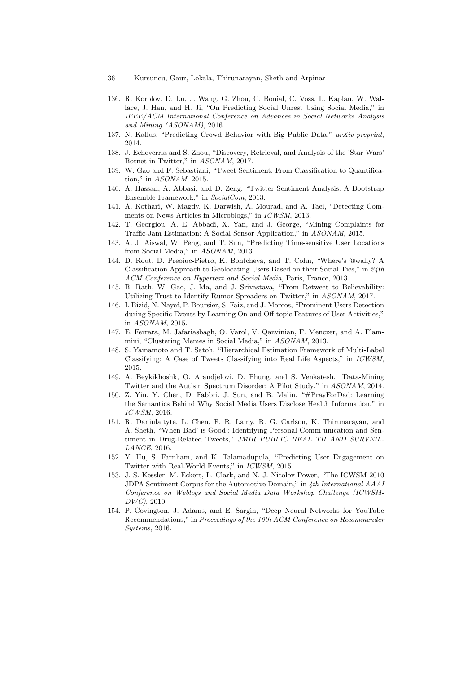- 36 Kursuncu, Gaur, Lokala, Thirunarayan, Sheth and Arpinar
- 136. R. Korolov, D. Lu, J. Wang, G. Zhou, C. Bonial, C. Voss, L. Kaplan, W. Wallace, J. Han, and H. Ji, "On Predicting Social Unrest Using Social Media," in IEEE/ACM International Conference on Advances in Social Networks Analysis and Mining (ASONAM), 2016.
- 137. N. Kallus, "Predicting Crowd Behavior with Big Public Data," arXiv preprint. 2014.
- 138. J. Echeverria and S. Zhou, "Discovery, Retrieval, and Analysis of the 'Star Wars' Botnet in Twitter," in ASONAM, 2017.
- 139. W. Gao and F. Sebastiani, "Tweet Sentiment: From Classification to Quantification," in ASONAM, 2015.
- 140. A. Hassan, A. Abbasi, and D. Zeng, "Twitter Sentiment Analysis: A Bootstrap Ensemble Framework," in SocialCom, 2013.
- 141. A. Kothari, W. Magdy, K. Darwish, A. Mourad, and A. Taei, "Detecting Comments on News Articles in Microblogs," in ICWSM, 2013.
- 142. T. Georgiou, A. E. Abbadi, X. Yan, and J. George, "Mining Complaints for Traffic-Jam Estimation: A Social Sensor Application," in ASONAM, 2015.
- 143. A. J. Aiswal, W. Peng, and T. Sun, "Predicting Time-sensitive User Locations from Social Media," in ASONAM, 2013.
- 144. D. Rout, D. Preoiuc-Pietro, K. Bontcheva, and T. Cohn, "Where's @wally? A Classification Approach to Geolocating Users Based on their Social Ties," in 24th ACM Conference on Hypertext and Social Media, Paris, France, 2013.
- 145. B. Rath, W. Gao, J. Ma, and J. Srivastava, "From Retweet to Believability: Utilizing Trust to Identify Rumor Spreaders on Twitter," in ASONAM, 2017.
- 146. I. Bizid, N. Nayef, P. Boursier, S. Faiz, and J. Morcos, "Prominent Users Detection during Specific Events by Learning On-and Off-topic Features of User Activities," in ASONAM, 2015.
- 147. E. Ferrara, M. Jafariasbagh, O. Varol, V. Qazvinian, F. Menczer, and A. Flammini, "Clustering Memes in Social Media," in ASONAM, 2013.
- 148. S. Yamamoto and T. Satoh, "Hierarchical Estimation Framework of Multi-Label Classifying: A Case of Tweets Classifying into Real Life Aspects," in ICWSM, 2015.
- 149. A. Beykikhoshk, O. Arandjelovi, D. Phung, and S. Venkatesh, "Data-Mining Twitter and the Autism Spectrum Disorder: A Pilot Study," in ASONAM, 2014.
- 150. Z. Yin, Y. Chen, D. Fabbri, J. Sun, and B. Malin, "#PrayForDad: Learning the Semantics Behind Why Social Media Users Disclose Health Information," in ICWSM, 2016.
- 151. R. Daniulaityte, L. Chen, F. R. Lamy, R. G. Carlson, K. Thirunarayan, and A. Sheth, "When Bad' is Good': Identifying Personal Comm unication and Sentiment in Drug-Related Tweets," JMIR PUBLIC HEAL TH AND SURVEIL-LANCE, 2016.
- 152. Y. Hu, S. Farnham, and K. Talamadupula, "Predicting User Engagement on Twitter with Real-World Events," in ICWSM, 2015.
- 153. J. S. Kessler, M. Eckert, L. Clark, and N. J. Nicolov Power, "The ICWSM 2010 JDPA Sentiment Corpus for the Automotive Domain," in 4th International AAAI Conference on Weblogs and Social Media Data Workshop Challenge (ICWSM-DWC), 2010.
- 154. P. Covington, J. Adams, and E. Sargin, "Deep Neural Networks for YouTube Recommendations," in Proceedings of the 10th ACM Conference on Recommender Systems, 2016.